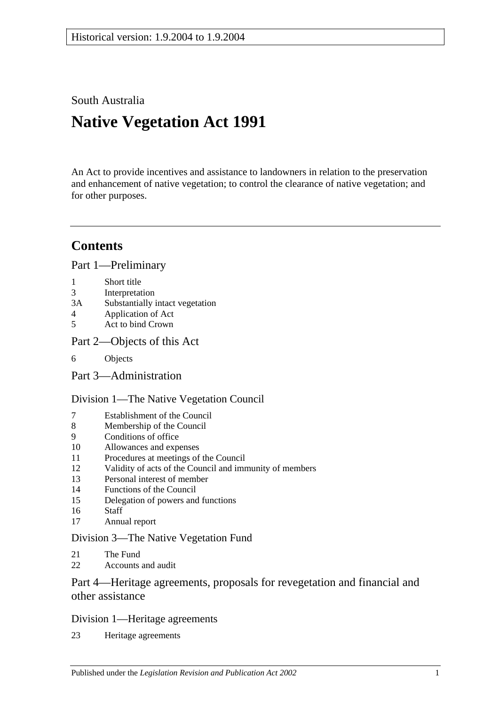South Australia

# **Native Vegetation Act 1991**

An Act to provide incentives and assistance to landowners in relation to the preservation and enhancement of native vegetation; to control the clearance of native vegetation; and for other purposes.

## **Contents**

[Part 1—Preliminary](#page-2-0)

- 1 [Short title](#page-2-1)
- 3 [Interpretation](#page-2-2)
- 3A [Substantially intact vegetation](#page-4-0)
- 4 [Application of Act](#page-5-0)
- 5 [Act to bind Crown](#page-6-0)
- [Part 2—Objects of this Act](#page-6-1)
- 6 [Objects](#page-6-2)

[Part 3—Administration](#page-7-0)

### [Division 1—The Native Vegetation Council](#page-7-1)

- 7 [Establishment of the Council](#page-7-2)<br>8 Membership of the Council
- [Membership of the Council](#page-7-3)
- 9 [Conditions of office](#page-8-0)
- 10 [Allowances and expenses](#page-8-1)
- 11 [Procedures at meetings of the Council](#page-8-2)
- 12 [Validity of acts of the Council and immunity of members](#page-8-3)
- 13 [Personal interest of member](#page-9-0)
- 14 [Functions of the Council](#page-9-1)
- 15 [Delegation of powers and functions](#page-10-0)
- 16 [Staff](#page-11-0)
- 17 [Annual report](#page-11-1)

### [Division 3—The Native Vegetation Fund](#page-11-2)

- 21 [The Fund](#page-11-3)
- 22 [Accounts and audit](#page-12-0)

## [Part 4—Heritage agreements, proposals for revegetation and financial and](#page-12-1)  [other assistance](#page-12-1)

### [Division 1—Heritage agreements](#page-12-2)

23 [Heritage agreements](#page-12-3)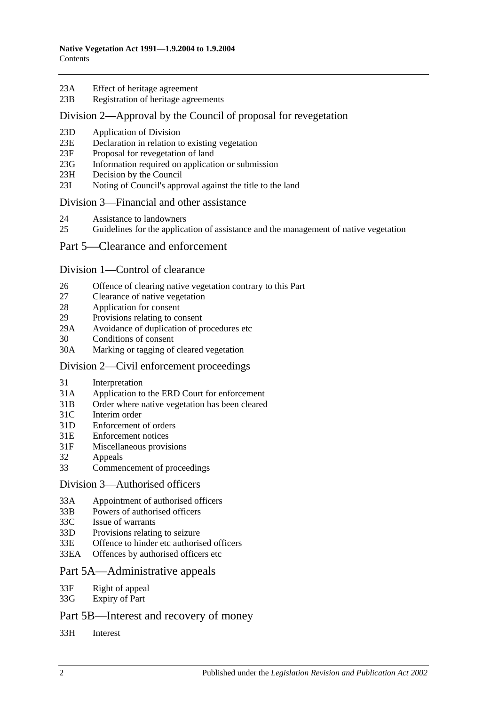- 23A [Effect of heritage agreement](#page-13-0)
- 23B [Registration of heritage agreements](#page-14-0)

#### [Division 2—Approval by the Council of proposal for revegetation](#page-14-1)

- 23D [Application of Division](#page-14-2)
- 23E [Declaration in relation to existing vegetation](#page-14-3)
- 23F [Proposal for revegetation of land](#page-14-4)
- 23G [Information required on application or submission](#page-14-5)
- 23H [Decision by the Council](#page-14-6)
- 23I [Noting of Council's approval against the title to the land](#page-15-0)

#### [Division 3—Financial and other assistance](#page-15-1)

- 24 [Assistance to landowners](#page-15-2)
- 25 [Guidelines for the application of assistance and the management of native vegetation](#page-16-0)

#### [Part 5—Clearance and enforcement](#page-17-0)

#### [Division 1—Control of clearance](#page-17-1)

- 26 [Offence of clearing native vegetation contrary to this Part](#page-17-2)
- 27 [Clearance of native vegetation](#page-19-0)
- 28 [Application for consent](#page-19-1)
- 29 [Provisions relating to consent](#page-20-0)
- 29A [Avoidance of duplication of procedures etc](#page-23-0)
- 30 [Conditions of consent](#page-24-0)
- 30A [Marking or tagging of cleared vegetation](#page-25-0)

#### [Division 2—Civil enforcement proceedings](#page-25-1)

- 31 [Interpretation](#page-25-2)
- 31A [Application to the ERD Court for enforcement](#page-26-0)
- 31B [Order where native vegetation has been cleared](#page-27-0)
- 31C [Interim order](#page-29-0)
- 31D [Enforcement of orders](#page-29-1)
- 31E [Enforcement notices](#page-30-0)
- 31F [Miscellaneous provisions](#page-31-0)
- 32 [Appeals](#page-31-1)
- 33 [Commencement of proceedings](#page-31-2)

#### [Division 3—Authorised officers](#page-32-0)

- 33A [Appointment of authorised officers](#page-32-1)
- 33B [Powers of authorised officers](#page-33-0)
- 33C [Issue of warrants](#page-35-0)
- 33D [Provisions relating to seizure](#page-36-0)
- 33E [Offence to hinder etc authorised officers](#page-37-0)
- 33EA [Offences by authorised officers etc](#page-38-0)

#### [Part 5A—Administrative appeals](#page-38-1)

- 33F [Right of appeal](#page-38-2)
- 33G [Expiry of Part](#page-39-0)

### [Part 5B—Interest and recovery of money](#page-39-1)

33H [Interest](#page-39-2)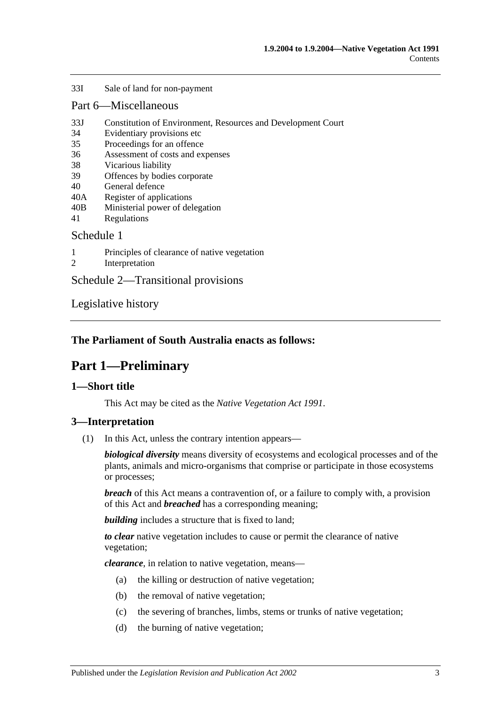#### 33I [Sale of land for non-payment](#page-39-3)

#### [Part 6—Miscellaneous](#page-41-0)

- 33J [Constitution of Environment, Resources and Development Court](#page-41-1)
- 34 [Evidentiary provisions etc](#page-41-2)
- 35 [Proceedings for an offence](#page-42-0)
- 36 [Assessment of costs and expenses](#page-42-1)
- 38 [Vicarious liability](#page-42-2)
- 39 [Offences by bodies corporate](#page-43-0)
- 40 [General defence](#page-43-1)
- 40A [Register of applications](#page-43-2)
- 40B [Ministerial power of delegation](#page-43-3)
- 41 [Regulations](#page-44-0)

#### [Schedule 1](#page-44-1)

- 1 [Principles of clearance of native vegetation](#page-44-2)
- 2 [Interpretation](#page-45-0)

[Schedule 2—Transitional provisions](#page-45-1)

[Legislative history](#page-47-0)

### <span id="page-2-0"></span>**The Parliament of South Australia enacts as follows:**

## **Part 1—Preliminary**

### <span id="page-2-1"></span>**1—Short title**

This Act may be cited as the *Native Vegetation Act 1991*.

### <span id="page-2-2"></span>**3—Interpretation**

(1) In this Act, unless the contrary intention appears—

*biological diversity* means diversity of ecosystems and ecological processes and of the plants, animals and micro-organisms that comprise or participate in those ecosystems or processes;

*breach* of this Act means a contravention of, or a failure to comply with, a provision of this Act and *breached* has a corresponding meaning;

**building** includes a structure that is fixed to land:

*to clear* native vegetation includes to cause or permit the clearance of native vegetation;

*clearance*, in relation to native vegetation, means—

- (a) the killing or destruction of native vegetation;
- (b) the removal of native vegetation;
- (c) the severing of branches, limbs, stems or trunks of native vegetation;
- (d) the burning of native vegetation;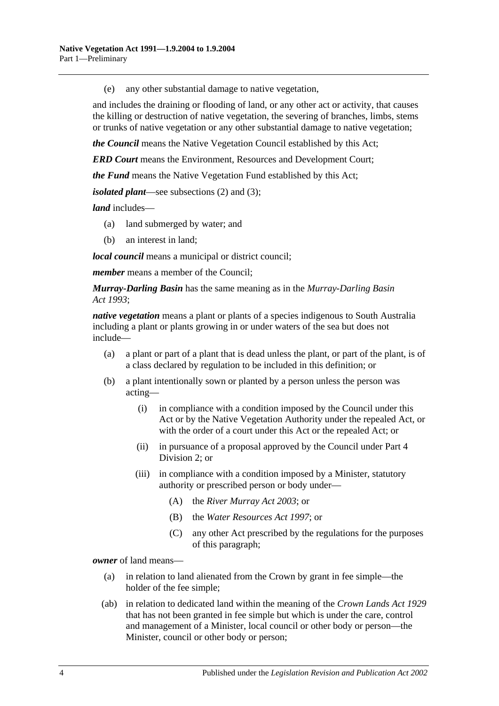(e) any other substantial damage to native vegetation,

and includes the draining or flooding of land, or any other act or activity, that causes the killing or destruction of native vegetation, the severing of branches, limbs, stems or trunks of native vegetation or any other substantial damage to native vegetation;

*the Council* means the Native Vegetation Council established by this Act;

*ERD Court* means the Environment, Resources and Development Court;

*the Fund* means the Native Vegetation Fund established by this Act;

*isolated plant*—see [subsections](#page-4-1) (2) and [\(3\);](#page-4-2)

*land* includes—

- (a) land submerged by water; and
- (b) an interest in land;

*local council* means a municipal or district council;

*member* means a member of the Council;

*Murray-Darling Basin* has the same meaning as in the *[Murray-Darling Basin](http://www.legislation.sa.gov.au/index.aspx?action=legref&type=act&legtitle=Murray-Darling%20Basin%20Act%201993)  Act [1993](http://www.legislation.sa.gov.au/index.aspx?action=legref&type=act&legtitle=Murray-Darling%20Basin%20Act%201993)*;

*native vegetation* means a plant or plants of a species indigenous to South Australia including a plant or plants growing in or under waters of the sea but does not include—

- (a) a plant or part of a plant that is dead unless the plant, or part of the plant, is of a class declared by regulation to be included in this definition; or
- (b) a plant intentionally sown or planted by a person unless the person was acting—
	- (i) in compliance with a condition imposed by the Council under this Act or by the Native Vegetation Authority under the repealed Act, or with the order of a court under this Act or the repealed Act; or
	- (ii) in pursuance of a proposal approved by the Council under [Part 4](#page-14-1)  [Division 2;](#page-14-1) or
	- (iii) in compliance with a condition imposed by a Minister, statutory authority or prescribed person or body under—
		- (A) the *[River Murray Act](http://www.legislation.sa.gov.au/index.aspx?action=legref&type=act&legtitle=River%20Murray%20Act%202003) 2003*; or
		- (B) the *[Water Resources Act](http://www.legislation.sa.gov.au/index.aspx?action=legref&type=act&legtitle=Water%20Resources%20Act%201997) 1997*; or
		- (C) any other Act prescribed by the regulations for the purposes of this paragraph;

*owner* of land means—

- (a) in relation to land alienated from the Crown by grant in fee simple—the holder of the fee simple;
- (ab) in relation to dedicated land within the meaning of the *[Crown Lands Act](http://www.legislation.sa.gov.au/index.aspx?action=legref&type=act&legtitle=Crown%20Lands%20Act%201929) 1929* that has not been granted in fee simple but which is under the care, control and management of a Minister, local council or other body or person—the Minister, council or other body or person;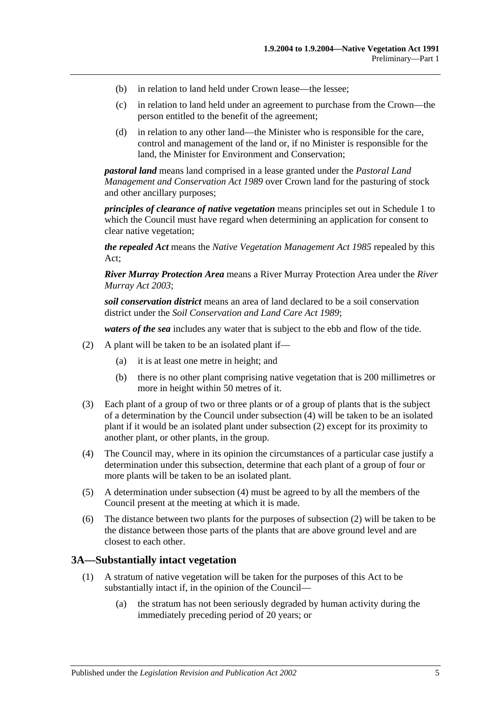- (b) in relation to land held under Crown lease—the lessee;
- (c) in relation to land held under an agreement to purchase from the Crown—the person entitled to the benefit of the agreement;
- (d) in relation to any other land—the Minister who is responsible for the care, control and management of the land or, if no Minister is responsible for the land, the Minister for Environment and Conservation;

*pastoral land* means land comprised in a lease granted under the *[Pastoral Land](http://www.legislation.sa.gov.au/index.aspx?action=legref&type=act&legtitle=Pastoral%20Land%20Management%20and%20Conservation%20Act%201989)  [Management and Conservation Act](http://www.legislation.sa.gov.au/index.aspx?action=legref&type=act&legtitle=Pastoral%20Land%20Management%20and%20Conservation%20Act%201989) 1989* over Crown land for the pasturing of stock and other ancillary purposes;

*principles of clearance of native vegetation* means principles set out in [Schedule 1](#page-44-1) to which the Council must have regard when determining an application for consent to clear native vegetation;

*the repealed Act* means the *[Native Vegetation Management Act](http://www.legislation.sa.gov.au/index.aspx?action=legref&type=act&legtitle=Native%20Vegetation%20Management%20Act%201985) 1985* repealed by this Act;

*River Murray Protection Area* means a River Murray Protection Area under the *[River](http://www.legislation.sa.gov.au/index.aspx?action=legref&type=act&legtitle=River%20Murray%20Act%202003)  [Murray Act](http://www.legislation.sa.gov.au/index.aspx?action=legref&type=act&legtitle=River%20Murray%20Act%202003) 2003*;

*soil conservation district* means an area of land declared to be a soil conservation district under the *[Soil Conservation and Land Care Act](http://www.legislation.sa.gov.au/index.aspx?action=legref&type=act&legtitle=Soil%20Conservation%20and%20Land%20Care%20Act%201989) 1989*;

*waters of the sea* includes any water that is subject to the ebb and flow of the tide.

- <span id="page-4-1"></span>(2) A plant will be taken to be an isolated plant if—
	- (a) it is at least one metre in height; and
	- (b) there is no other plant comprising native vegetation that is 200 millimetres or more in height within 50 metres of it.
- <span id="page-4-2"></span>(3) Each plant of a group of two or three plants or of a group of plants that is the subject of a determination by the Council under [subsection](#page-4-3) (4) will be taken to be an isolated plant if it would be an isolated plant under [subsection](#page-4-1) (2) except for its proximity to another plant, or other plants, in the group.
- <span id="page-4-3"></span>(4) The Council may, where in its opinion the circumstances of a particular case justify a determination under this subsection, determine that each plant of a group of four or more plants will be taken to be an isolated plant.
- (5) A determination under [subsection](#page-4-3) (4) must be agreed to by all the members of the Council present at the meeting at which it is made.
- (6) The distance between two plants for the purposes of [subsection](#page-4-1) (2) will be taken to be the distance between those parts of the plants that are above ground level and are closest to each other.

#### <span id="page-4-0"></span>**3A—Substantially intact vegetation**

- (1) A stratum of native vegetation will be taken for the purposes of this Act to be substantially intact if, in the opinion of the Council—
	- (a) the stratum has not been seriously degraded by human activity during the immediately preceding period of 20 years; or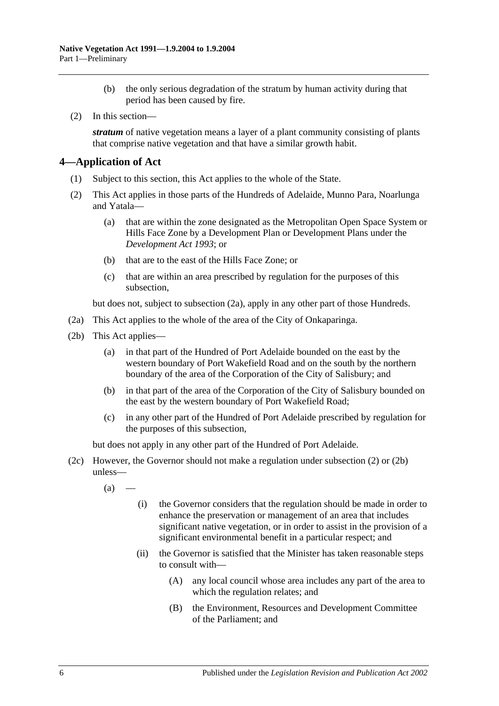- (b) the only serious degradation of the stratum by human activity during that period has been caused by fire.
- (2) In this section—

*stratum* of native vegetation means a layer of a plant community consisting of plants that comprise native vegetation and that have a similar growth habit.

### <span id="page-5-0"></span>**4—Application of Act**

- (1) Subject to this section, this Act applies to the whole of the State.
- <span id="page-5-2"></span>(2) This Act applies in those parts of the Hundreds of Adelaide, Munno Para, Noarlunga and Yatala—
	- (a) that are within the zone designated as the Metropolitan Open Space System or Hills Face Zone by a Development Plan or Development Plans under the *[Development Act](http://www.legislation.sa.gov.au/index.aspx?action=legref&type=act&legtitle=Development%20Act%201993) 1993*; or
	- (b) that are to the east of the Hills Face Zone; or
	- (c) that are within an area prescribed by regulation for the purposes of this subsection,

but does not, subject to [subsection](#page-5-1) (2a), apply in any other part of those Hundreds.

- <span id="page-5-1"></span>(2a) This Act applies to the whole of the area of the City of Onkaparinga.
- <span id="page-5-3"></span>(2b) This Act applies—
	- (a) in that part of the Hundred of Port Adelaide bounded on the east by the western boundary of Port Wakefield Road and on the south by the northern boundary of the area of the Corporation of the City of Salisbury; and
	- (b) in that part of the area of the Corporation of the City of Salisbury bounded on the east by the western boundary of Port Wakefield Road;
	- (c) in any other part of the Hundred of Port Adelaide prescribed by regulation for the purposes of this subsection,

but does not apply in any other part of the Hundred of Port Adelaide.

- <span id="page-5-4"></span>(2c) However, the Governor should not make a regulation under [subsection](#page-5-2) (2) or [\(2b\)](#page-5-3) unless—
	- $(a)$ 
		- (i) the Governor considers that the regulation should be made in order to enhance the preservation or management of an area that includes significant native vegetation, or in order to assist in the provision of a significant environmental benefit in a particular respect; and
		- (ii) the Governor is satisfied that the Minister has taken reasonable steps to consult with—
			- (A) any local council whose area includes any part of the area to which the regulation relates; and
			- (B) the Environment, Resources and Development Committee of the Parliament; and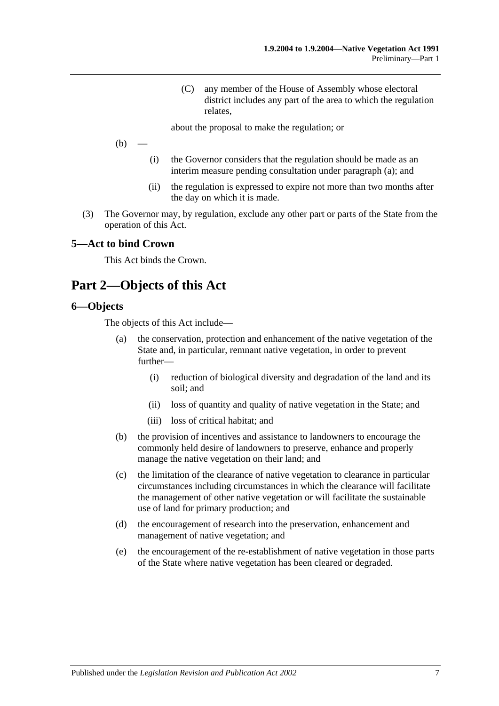(C) any member of the House of Assembly whose electoral district includes any part of the area to which the regulation relates,

about the proposal to make the regulation; or

 $(b)$ 

- (i) the Governor considers that the regulation should be made as an interim measure pending consultation under [paragraph](#page-5-4) (a); and
- (ii) the regulation is expressed to expire not more than two months after the day on which it is made.
- (3) The Governor may, by regulation, exclude any other part or parts of the State from the operation of this Act.

#### <span id="page-6-0"></span>**5—Act to bind Crown**

This Act binds the Crown.

## <span id="page-6-1"></span>**Part 2—Objects of this Act**

#### <span id="page-6-2"></span>**6—Objects**

The objects of this Act include—

- (a) the conservation, protection and enhancement of the native vegetation of the State and, in particular, remnant native vegetation, in order to prevent further—
	- (i) reduction of biological diversity and degradation of the land and its soil; and
	- (ii) loss of quantity and quality of native vegetation in the State; and
	- (iii) loss of critical habitat; and
- (b) the provision of incentives and assistance to landowners to encourage the commonly held desire of landowners to preserve, enhance and properly manage the native vegetation on their land; and
- (c) the limitation of the clearance of native vegetation to clearance in particular circumstances including circumstances in which the clearance will facilitate the management of other native vegetation or will facilitate the sustainable use of land for primary production; and
- (d) the encouragement of research into the preservation, enhancement and management of native vegetation; and
- (e) the encouragement of the re-establishment of native vegetation in those parts of the State where native vegetation has been cleared or degraded.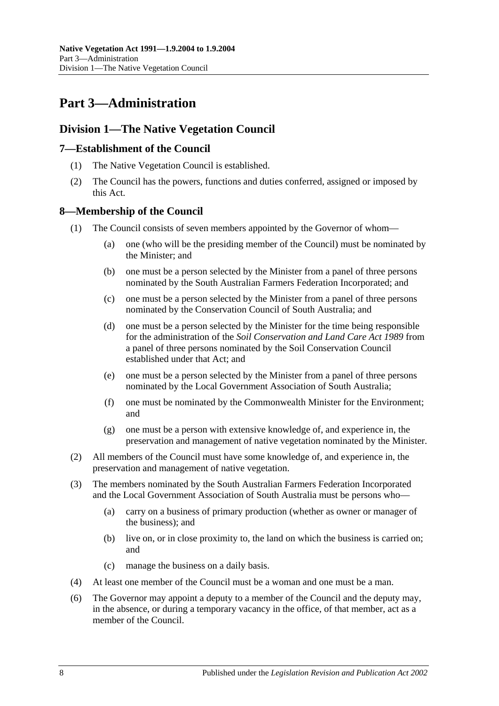## <span id="page-7-0"></span>**Part 3—Administration**

## <span id="page-7-1"></span>**Division 1—The Native Vegetation Council**

### <span id="page-7-2"></span>**7—Establishment of the Council**

- (1) The Native Vegetation Council is established.
- (2) The Council has the powers, functions and duties conferred, assigned or imposed by this Act.

### <span id="page-7-3"></span>**8—Membership of the Council**

- (1) The Council consists of seven members appointed by the Governor of whom—
	- (a) one (who will be the presiding member of the Council) must be nominated by the Minister; and
	- (b) one must be a person selected by the Minister from a panel of three persons nominated by the South Australian Farmers Federation Incorporated; and
	- (c) one must be a person selected by the Minister from a panel of three persons nominated by the Conservation Council of South Australia; and
	- (d) one must be a person selected by the Minister for the time being responsible for the administration of the *[Soil Conservation and Land Care Act](http://www.legislation.sa.gov.au/index.aspx?action=legref&type=act&legtitle=Soil%20Conservation%20and%20Land%20Care%20Act%201989) 1989* from a panel of three persons nominated by the Soil Conservation Council established under that Act; and
	- (e) one must be a person selected by the Minister from a panel of three persons nominated by the Local Government Association of South Australia;
	- (f) one must be nominated by the Commonwealth Minister for the Environment; and
	- (g) one must be a person with extensive knowledge of, and experience in, the preservation and management of native vegetation nominated by the Minister.
- (2) All members of the Council must have some knowledge of, and experience in, the preservation and management of native vegetation.
- (3) The members nominated by the South Australian Farmers Federation Incorporated and the Local Government Association of South Australia must be persons who—
	- (a) carry on a business of primary production (whether as owner or manager of the business); and
	- (b) live on, or in close proximity to, the land on which the business is carried on; and
	- (c) manage the business on a daily basis.
- (4) At least one member of the Council must be a woman and one must be a man.
- (6) The Governor may appoint a deputy to a member of the Council and the deputy may, in the absence, or during a temporary vacancy in the office, of that member, act as a member of the Council.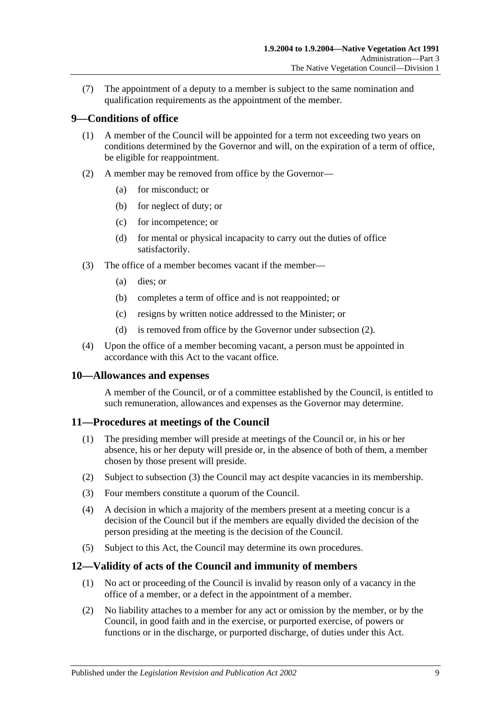(7) The appointment of a deputy to a member is subject to the same nomination and qualification requirements as the appointment of the member.

### <span id="page-8-0"></span>**9—Conditions of office**

- (1) A member of the Council will be appointed for a term not exceeding two years on conditions determined by the Governor and will, on the expiration of a term of office, be eligible for reappointment.
- <span id="page-8-4"></span>(2) A member may be removed from office by the Governor—
	- (a) for misconduct; or
	- (b) for neglect of duty; or
	- (c) for incompetence; or
	- (d) for mental or physical incapacity to carry out the duties of office satisfactorily.
- (3) The office of a member becomes vacant if the member—
	- (a) dies; or
	- (b) completes a term of office and is not reappointed; or
	- (c) resigns by written notice addressed to the Minister; or
	- (d) is removed from office by the Governor under [subsection](#page-8-4) (2).
- (4) Upon the office of a member becoming vacant, a person must be appointed in accordance with this Act to the vacant office.

#### <span id="page-8-1"></span>**10—Allowances and expenses**

A member of the Council, or of a committee established by the Council, is entitled to such remuneration, allowances and expenses as the Governor may determine.

#### <span id="page-8-2"></span>**11—Procedures at meetings of the Council**

- (1) The presiding member will preside at meetings of the Council or, in his or her absence, his or her deputy will preside or, in the absence of both of them, a member chosen by those present will preside.
- (2) Subject to [subsection](#page-8-5) (3) the Council may act despite vacancies in its membership.
- <span id="page-8-5"></span>(3) Four members constitute a quorum of the Council.
- (4) A decision in which a majority of the members present at a meeting concur is a decision of the Council but if the members are equally divided the decision of the person presiding at the meeting is the decision of the Council.
- (5) Subject to this Act, the Council may determine its own procedures.

### <span id="page-8-3"></span>**12—Validity of acts of the Council and immunity of members**

- (1) No act or proceeding of the Council is invalid by reason only of a vacancy in the office of a member, or a defect in the appointment of a member.
- <span id="page-8-6"></span>(2) No liability attaches to a member for any act or omission by the member, or by the Council, in good faith and in the exercise, or purported exercise, of powers or functions or in the discharge, or purported discharge, of duties under this Act.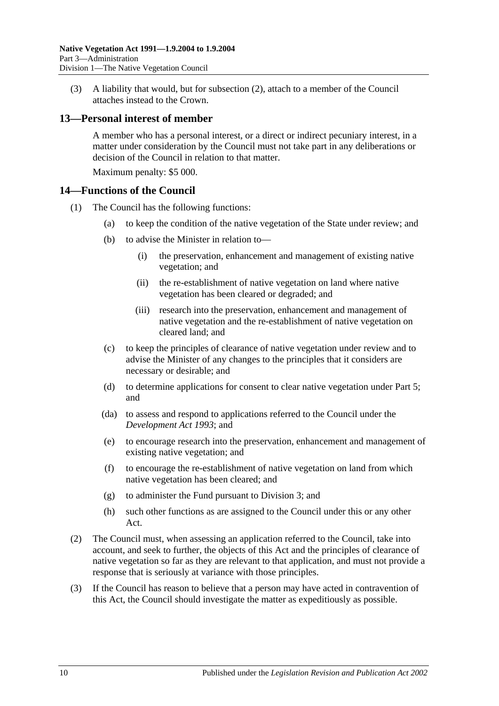(3) A liability that would, but for [subsection](#page-8-6) (2), attach to a member of the Council attaches instead to the Crown.

#### <span id="page-9-0"></span>**13—Personal interest of member**

A member who has a personal interest, or a direct or indirect pecuniary interest, in a matter under consideration by the Council must not take part in any deliberations or decision of the Council in relation to that matter.

Maximum penalty: \$5 000.

#### <span id="page-9-1"></span>**14—Functions of the Council**

- (1) The Council has the following functions:
	- (a) to keep the condition of the native vegetation of the State under review; and
	- (b) to advise the Minister in relation to—
		- (i) the preservation, enhancement and management of existing native vegetation; and
		- (ii) the re-establishment of native vegetation on land where native vegetation has been cleared or degraded; and
		- (iii) research into the preservation, enhancement and management of native vegetation and the re-establishment of native vegetation on cleared land; and
	- (c) to keep the principles of clearance of native vegetation under review and to advise the Minister of any changes to the principles that it considers are necessary or desirable; and
	- (d) to determine applications for consent to clear native vegetation under [Part 5;](#page-17-0) and
	- (da) to assess and respond to applications referred to the Council under the *[Development Act](http://www.legislation.sa.gov.au/index.aspx?action=legref&type=act&legtitle=Development%20Act%201993) 1993*; and
	- (e) to encourage research into the preservation, enhancement and management of existing native vegetation; and
	- (f) to encourage the re-establishment of native vegetation on land from which native vegetation has been cleared; and
	- (g) to administer the Fund pursuant to [Division 3;](#page-11-2) and
	- (h) such other functions as are assigned to the Council under this or any other Act.
- (2) The Council must, when assessing an application referred to the Council, take into account, and seek to further, the objects of this Act and the principles of clearance of native vegetation so far as they are relevant to that application, and must not provide a response that is seriously at variance with those principles.
- (3) If the Council has reason to believe that a person may have acted in contravention of this Act, the Council should investigate the matter as expeditiously as possible.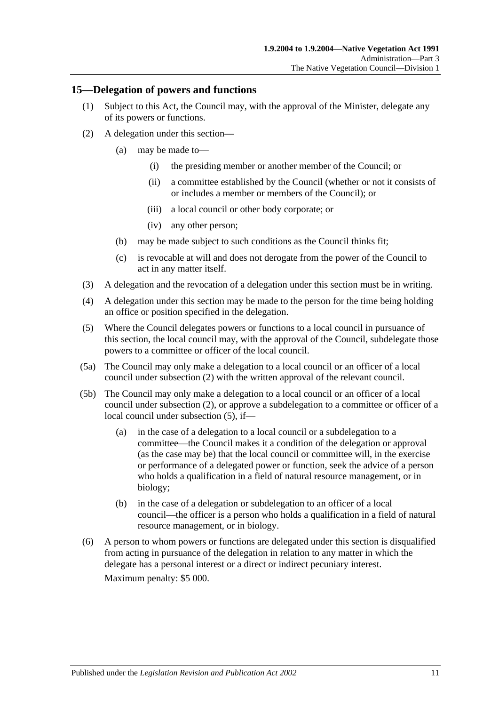#### <span id="page-10-0"></span>**15—Delegation of powers and functions**

- (1) Subject to this Act, the Council may, with the approval of the Minister, delegate any of its powers or functions.
- <span id="page-10-1"></span>(2) A delegation under this section—
	- (a) may be made to—
		- (i) the presiding member or another member of the Council; or
		- (ii) a committee established by the Council (whether or not it consists of or includes a member or members of the Council); or
		- (iii) a local council or other body corporate; or
		- (iv) any other person;
	- (b) may be made subject to such conditions as the Council thinks fit;
	- (c) is revocable at will and does not derogate from the power of the Council to act in any matter itself.
- (3) A delegation and the revocation of a delegation under this section must be in writing.
- (4) A delegation under this section may be made to the person for the time being holding an office or position specified in the delegation.
- <span id="page-10-2"></span>(5) Where the Council delegates powers or functions to a local council in pursuance of this section, the local council may, with the approval of the Council, subdelegate those powers to a committee or officer of the local council.
- (5a) The Council may only make a delegation to a local council or an officer of a local council under [subsection](#page-10-1) (2) with the written approval of the relevant council.
- (5b) The Council may only make a delegation to a local council or an officer of a local council under [subsection](#page-10-1) (2), or approve a subdelegation to a committee or officer of a local council under [subsection](#page-10-2) (5), if—
	- (a) in the case of a delegation to a local council or a subdelegation to a committee—the Council makes it a condition of the delegation or approval (as the case may be) that the local council or committee will, in the exercise or performance of a delegated power or function, seek the advice of a person who holds a qualification in a field of natural resource management, or in biology;
	- (b) in the case of a delegation or subdelegation to an officer of a local council—the officer is a person who holds a qualification in a field of natural resource management, or in biology.
- (6) A person to whom powers or functions are delegated under this section is disqualified from acting in pursuance of the delegation in relation to any matter in which the delegate has a personal interest or a direct or indirect pecuniary interest.

Maximum penalty: \$5 000.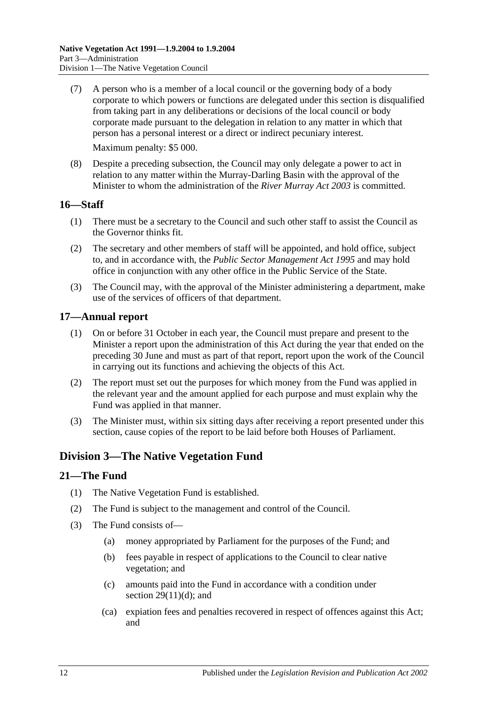- (7) A person who is a member of a local council or the governing body of a body corporate to which powers or functions are delegated under this section is disqualified from taking part in any deliberations or decisions of the local council or body corporate made pursuant to the delegation in relation to any matter in which that person has a personal interest or a direct or indirect pecuniary interest. Maximum penalty: \$5 000.
- (8) Despite a preceding subsection, the Council may only delegate a power to act in relation to any matter within the Murray-Darling Basin with the approval of the Minister to whom the administration of the *[River Murray Act](http://www.legislation.sa.gov.au/index.aspx?action=legref&type=act&legtitle=River%20Murray%20Act%202003) 2003* is committed.

### <span id="page-11-0"></span>**16—Staff**

- (1) There must be a secretary to the Council and such other staff to assist the Council as the Governor thinks fit.
- (2) The secretary and other members of staff will be appointed, and hold office, subject to, and in accordance with, the *[Public Sector Management Act](http://www.legislation.sa.gov.au/index.aspx?action=legref&type=act&legtitle=Public%20Sector%20Management%20Act%201995) 1995* and may hold office in conjunction with any other office in the Public Service of the State.
- (3) The Council may, with the approval of the Minister administering a department, make use of the services of officers of that department.

### <span id="page-11-1"></span>**17—Annual report**

- (1) On or before 31 October in each year, the Council must prepare and present to the Minister a report upon the administration of this Act during the year that ended on the preceding 30 June and must as part of that report, report upon the work of the Council in carrying out its functions and achieving the objects of this Act.
- (2) The report must set out the purposes for which money from the Fund was applied in the relevant year and the amount applied for each purpose and must explain why the Fund was applied in that manner.
- (3) The Minister must, within six sitting days after receiving a report presented under this section, cause copies of the report to be laid before both Houses of Parliament.

## <span id="page-11-2"></span>**Division 3—The Native Vegetation Fund**

### <span id="page-11-3"></span>**21—The Fund**

- (1) The Native Vegetation Fund is established.
- (2) The Fund is subject to the management and control of the Council.
- <span id="page-11-5"></span><span id="page-11-4"></span>(3) The Fund consists of—
	- (a) money appropriated by Parliament for the purposes of the Fund; and
	- (b) fees payable in respect of applications to the Council to clear native vegetation; and
	- (c) amounts paid into the Fund in accordance with a condition under section  $29(11)(d)$ ; and
	- (ca) expiation fees and penalties recovered in respect of offences against this Act; and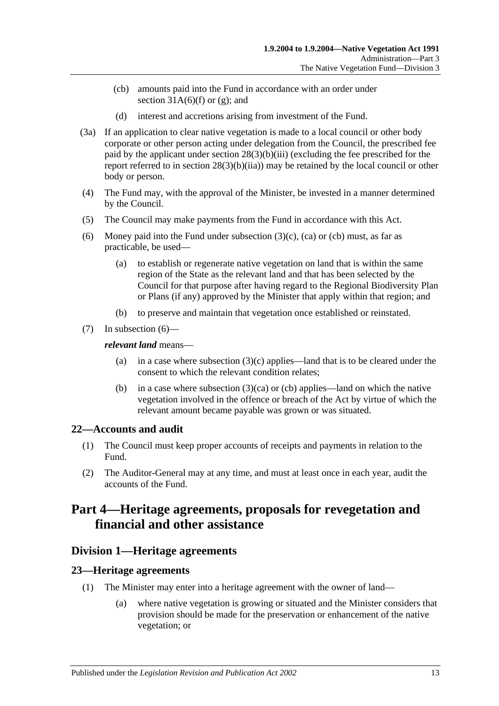- <span id="page-12-4"></span>(cb) amounts paid into the Fund in accordance with an order under section  $31A(6)(f)$  or [\(g\);](#page-27-2) and
- (d) interest and accretions arising from investment of the Fund.
- (3a) If an application to clear native vegetation is made to a local council or other body corporate or other person acting under delegation from the Council, the prescribed fee paid by the applicant under section [28\(3\)\(b\)\(iii\)](#page-20-1) (excluding the fee prescribed for the report referred to in section [28\(3\)\(b\)\(iia\)\)](#page-20-2) may be retained by the local council or other body or person.
- (4) The Fund may, with the approval of the Minister, be invested in a manner determined by the Council.
- (5) The Council may make payments from the Fund in accordance with this Act.
- <span id="page-12-5"></span>(6) Money paid into the Fund under [subsection](#page-11-4)  $(3)(c)$ ,  $(ca)$  or  $(cb)$  must, as far as practicable, be used—
	- (a) to establish or regenerate native vegetation on land that is within the same region of the State as the relevant land and that has been selected by the Council for that purpose after having regard to the Regional Biodiversity Plan or Plans (if any) approved by the Minister that apply within that region; and
	- (b) to preserve and maintain that vegetation once established or reinstated.
- (7) In [subsection](#page-12-5) (6)—

#### *relevant land* means—

- (a) in a case where [subsection](#page-11-4)  $(3)(c)$  applies—land that is to be cleared under the consent to which the relevant condition relates;
- (b) in a case where [subsection](#page-11-5)  $(3)(ca)$  or [\(cb\)](#page-12-4) applies—land on which the native vegetation involved in the offence or breach of the Act by virtue of which the relevant amount became payable was grown or was situated.

### <span id="page-12-0"></span>**22—Accounts and audit**

- (1) The Council must keep proper accounts of receipts and payments in relation to the Fund.
- (2) The Auditor-General may at any time, and must at least once in each year, audit the accounts of the Fund.

## <span id="page-12-1"></span>**Part 4—Heritage agreements, proposals for revegetation and financial and other assistance**

## <span id="page-12-2"></span>**Division 1—Heritage agreements**

### <span id="page-12-3"></span>**23—Heritage agreements**

- (1) The Minister may enter into a heritage agreement with the owner of land—
	- (a) where native vegetation is growing or situated and the Minister considers that provision should be made for the preservation or enhancement of the native vegetation; or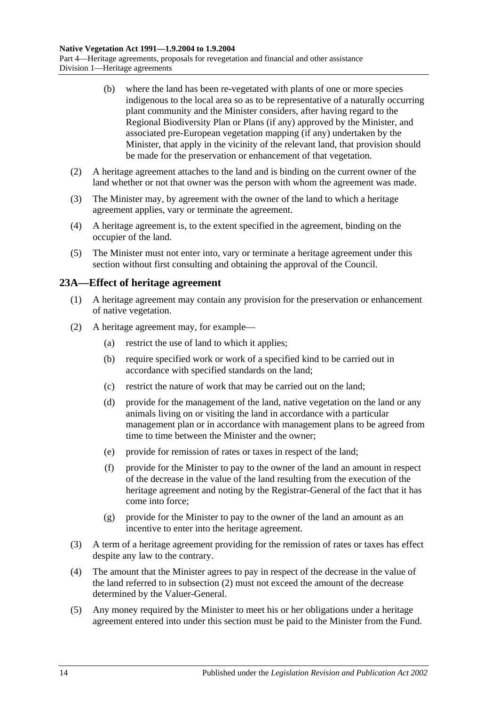- (b) where the land has been re-vegetated with plants of one or more species indigenous to the local area so as to be representative of a naturally occurring plant community and the Minister considers, after having regard to the Regional Biodiversity Plan or Plans (if any) approved by the Minister, and associated pre-European vegetation mapping (if any) undertaken by the Minister, that apply in the vicinity of the relevant land, that provision should be made for the preservation or enhancement of that vegetation.
- (2) A heritage agreement attaches to the land and is binding on the current owner of the land whether or not that owner was the person with whom the agreement was made.
- (3) The Minister may, by agreement with the owner of the land to which a heritage agreement applies, vary or terminate the agreement.
- (4) A heritage agreement is, to the extent specified in the agreement, binding on the occupier of the land.
- (5) The Minister must not enter into, vary or terminate a heritage agreement under this section without first consulting and obtaining the approval of the Council.

### <span id="page-13-0"></span>**23A—Effect of heritage agreement**

- (1) A heritage agreement may contain any provision for the preservation or enhancement of native vegetation.
- <span id="page-13-1"></span>(2) A heritage agreement may, for example—
	- (a) restrict the use of land to which it applies;
	- (b) require specified work or work of a specified kind to be carried out in accordance with specified standards on the land;
	- (c) restrict the nature of work that may be carried out on the land;
	- (d) provide for the management of the land, native vegetation on the land or any animals living on or visiting the land in accordance with a particular management plan or in accordance with management plans to be agreed from time to time between the Minister and the owner;
	- (e) provide for remission of rates or taxes in respect of the land;
	- (f) provide for the Minister to pay to the owner of the land an amount in respect of the decrease in the value of the land resulting from the execution of the heritage agreement and noting by the Registrar-General of the fact that it has come into force;
	- (g) provide for the Minister to pay to the owner of the land an amount as an incentive to enter into the heritage agreement.
- (3) A term of a heritage agreement providing for the remission of rates or taxes has effect despite any law to the contrary.
- (4) The amount that the Minister agrees to pay in respect of the decrease in the value of the land referred to in [subsection](#page-13-1) (2) must not exceed the amount of the decrease determined by the Valuer-General.
- (5) Any money required by the Minister to meet his or her obligations under a heritage agreement entered into under this section must be paid to the Minister from the Fund.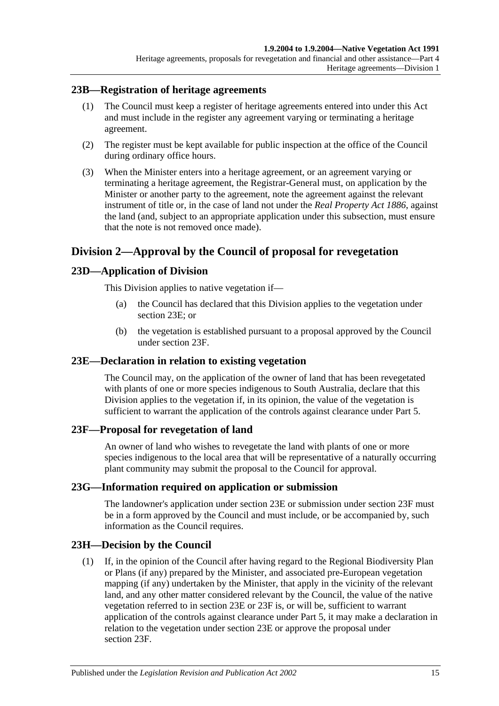#### <span id="page-14-0"></span>**23B—Registration of heritage agreements**

- (1) The Council must keep a register of heritage agreements entered into under this Act and must include in the register any agreement varying or terminating a heritage agreement.
- (2) The register must be kept available for public inspection at the office of the Council during ordinary office hours.
- (3) When the Minister enters into a heritage agreement, or an agreement varying or terminating a heritage agreement, the Registrar-General must, on application by the Minister or another party to the agreement, note the agreement against the relevant instrument of title or, in the case of land not under the *[Real Property Act](http://www.legislation.sa.gov.au/index.aspx?action=legref&type=act&legtitle=Real%20Property%20Act%201886) 1886*, against the land (and, subject to an appropriate application under this subsection, must ensure that the note is not removed once made).

## <span id="page-14-1"></span>**Division 2—Approval by the Council of proposal for revegetation**

### <span id="page-14-2"></span>**23D—Application of Division**

This Division applies to native vegetation if—

- (a) the Council has declared that this Division applies to the vegetation under [section](#page-14-3) 23E; or
- (b) the vegetation is established pursuant to a proposal approved by the Council under [section](#page-14-4) 23F.

### <span id="page-14-3"></span>**23E—Declaration in relation to existing vegetation**

The Council may, on the application of the owner of land that has been revegetated with plants of one or more species indigenous to South Australia, declare that this Division applies to the vegetation if, in its opinion, the value of the vegetation is sufficient to warrant the application of the controls against clearance under [Part 5.](#page-17-0)

#### <span id="page-14-4"></span>**23F—Proposal for revegetation of land**

An owner of land who wishes to revegetate the land with plants of one or more species indigenous to the local area that will be representative of a naturally occurring plant community may submit the proposal to the Council for approval.

#### <span id="page-14-5"></span>**23G—Information required on application or submission**

The landowner's application under [section](#page-14-3) 23E or submission under [section](#page-14-4) 23F must be in a form approved by the Council and must include, or be accompanied by, such information as the Council requires.

### <span id="page-14-6"></span>**23H—Decision by the Council**

(1) If, in the opinion of the Council after having regard to the Regional Biodiversity Plan or Plans (if any) prepared by the Minister, and associated pre-European vegetation mapping (if any) undertaken by the Minister, that apply in the vicinity of the relevant land, and any other matter considered relevant by the Council, the value of the native vegetation referred to in [section](#page-14-3) 23E or [23F](#page-14-4) is, or will be, sufficient to warrant application of the controls against clearance under [Part 5,](#page-17-0) it may make a declaration in relation to the vegetation under [section](#page-14-3) 23E or approve the proposal under [section](#page-14-4) 23F.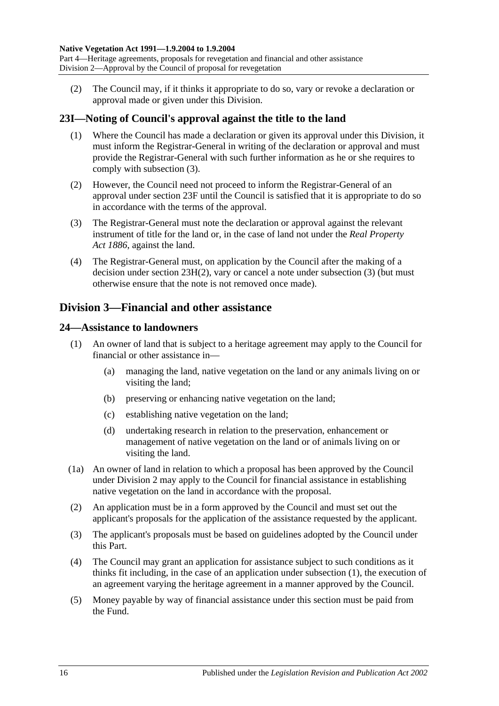<span id="page-15-4"></span>(2) The Council may, if it thinks it appropriate to do so, vary or revoke a declaration or approval made or given under this Division.

### <span id="page-15-0"></span>**23I—Noting of Council's approval against the title to the land**

- (1) Where the Council has made a declaration or given its approval under this Division, it must inform the Registrar-General in writing of the declaration or approval and must provide the Registrar-General with such further information as he or she requires to comply with [subsection](#page-15-3) (3).
- (2) However, the Council need not proceed to inform the Registrar-General of an approval under [section](#page-14-4) 23F until the Council is satisfied that it is appropriate to do so in accordance with the terms of the approval.
- <span id="page-15-3"></span>(3) The Registrar-General must note the declaration or approval against the relevant instrument of title for the land or, in the case of land not under the *Real [Property](http://www.legislation.sa.gov.au/index.aspx?action=legref&type=act&legtitle=Real%20Property%20Act%201886)  Act [1886](http://www.legislation.sa.gov.au/index.aspx?action=legref&type=act&legtitle=Real%20Property%20Act%201886)*, against the land.
- (4) The Registrar-General must, on application by the Council after the making of a decision under section [23H\(2\),](#page-15-4) vary or cancel a note under [subsection](#page-15-3) (3) (but must otherwise ensure that the note is not removed once made).

## <span id="page-15-1"></span>**Division 3—Financial and other assistance**

### <span id="page-15-5"></span><span id="page-15-2"></span>**24—Assistance to landowners**

- (1) An owner of land that is subject to a heritage agreement may apply to the Council for financial or other assistance in—
	- (a) managing the land, native vegetation on the land or any animals living on or visiting the land;
	- (b) preserving or enhancing native vegetation on the land;
	- (c) establishing native vegetation on the land;
	- (d) undertaking research in relation to the preservation, enhancement or management of native vegetation on the land or of animals living on or visiting the land.
- (1a) An owner of land in relation to which a proposal has been approved by the Council under [Division 2](#page-14-1) may apply to the Council for financial assistance in establishing native vegetation on the land in accordance with the proposal.
- (2) An application must be in a form approved by the Council and must set out the applicant's proposals for the application of the assistance requested by the applicant.
- (3) The applicant's proposals must be based on guidelines adopted by the Council under this Part.
- (4) The Council may grant an application for assistance subject to such conditions as it thinks fit including, in the case of an application under [subsection](#page-15-5) (1), the execution of an agreement varying the heritage agreement in a manner approved by the Council.
- (5) Money payable by way of financial assistance under this section must be paid from the Fund.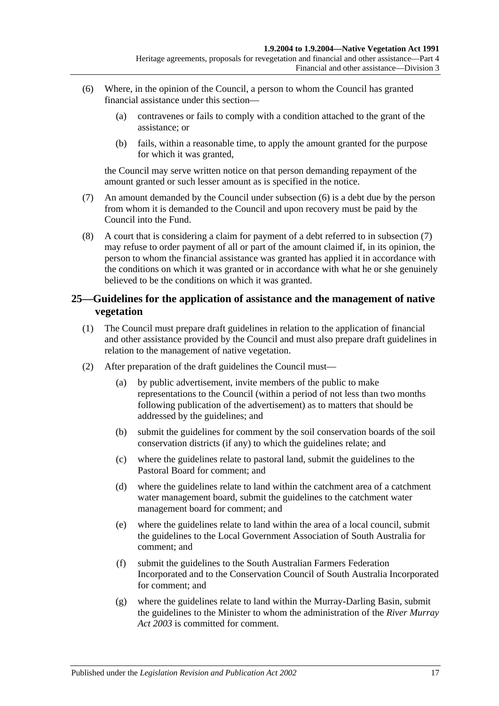- <span id="page-16-1"></span>(6) Where, in the opinion of the Council, a person to whom the Council has granted financial assistance under this section—
	- (a) contravenes or fails to comply with a condition attached to the grant of the assistance; or
	- (b) fails, within a reasonable time, to apply the amount granted for the purpose for which it was granted,

the Council may serve written notice on that person demanding repayment of the amount granted or such lesser amount as is specified in the notice.

- <span id="page-16-2"></span>(7) An amount demanded by the Council under [subsection](#page-16-1) (6) is a debt due by the person from whom it is demanded to the Council and upon recovery must be paid by the Council into the Fund.
- (8) A court that is considering a claim for payment of a debt referred to in [subsection](#page-16-2) (7) may refuse to order payment of all or part of the amount claimed if, in its opinion, the person to whom the financial assistance was granted has applied it in accordance with the conditions on which it was granted or in accordance with what he or she genuinely believed to be the conditions on which it was granted.

### <span id="page-16-0"></span>**25—Guidelines for the application of assistance and the management of native vegetation**

- (1) The Council must prepare draft guidelines in relation to the application of financial and other assistance provided by the Council and must also prepare draft guidelines in relation to the management of native vegetation.
- <span id="page-16-8"></span><span id="page-16-7"></span><span id="page-16-6"></span><span id="page-16-5"></span><span id="page-16-4"></span><span id="page-16-3"></span>(2) After preparation of the draft guidelines the Council must—
	- (a) by public advertisement, invite members of the public to make representations to the Council (within a period of not less than two months following publication of the advertisement) as to matters that should be addressed by the guidelines; and
	- (b) submit the guidelines for comment by the soil conservation boards of the soil conservation districts (if any) to which the guidelines relate; and
	- (c) where the guidelines relate to pastoral land, submit the guidelines to the Pastoral Board for comment; and
	- (d) where the guidelines relate to land within the catchment area of a catchment water management board, submit the guidelines to the catchment water management board for comment; and
	- (e) where the guidelines relate to land within the area of a local council, submit the guidelines to the Local Government Association of South Australia for comment; and
	- (f) submit the guidelines to the South Australian Farmers Federation Incorporated and to the Conservation Council of South Australia Incorporated for comment; and
	- (g) where the guidelines relate to land within the Murray-Darling Basin, submit the guidelines to the Minister to whom the administration of the *[River Murray](http://www.legislation.sa.gov.au/index.aspx?action=legref&type=act&legtitle=River%20Murray%20Act%202003) Act [2003](http://www.legislation.sa.gov.au/index.aspx?action=legref&type=act&legtitle=River%20Murray%20Act%202003)* is committed for comment.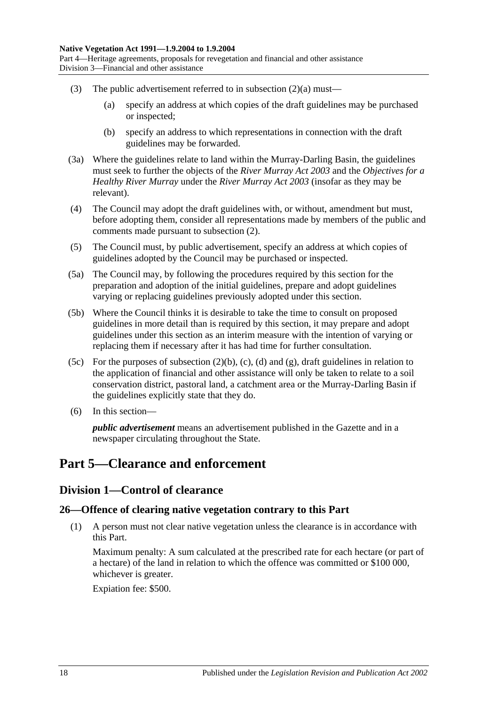- (3) The public advertisement referred to in [subsection](#page-16-3)  $(2)(a)$  must—
	- (a) specify an address at which copies of the draft guidelines may be purchased or inspected;
	- (b) specify an address to which representations in connection with the draft guidelines may be forwarded.
- (3a) Where the guidelines relate to land within the Murray-Darling Basin, the guidelines must seek to further the objects of the *[River Murray Act](http://www.legislation.sa.gov.au/index.aspx?action=legref&type=act&legtitle=River%20Murray%20Act%202003) 2003* and the *Objectives for a Healthy River Murray* under the *[River Murray Act](http://www.legislation.sa.gov.au/index.aspx?action=legref&type=act&legtitle=River%20Murray%20Act%202003) 2003* (insofar as they may be relevant).
- (4) The Council may adopt the draft guidelines with, or without, amendment but must, before adopting them, consider all representations made by members of the public and comments made pursuant to [subsection](#page-16-4) (2).
- (5) The Council must, by public advertisement, specify an address at which copies of guidelines adopted by the Council may be purchased or inspected.
- (5a) The Council may, by following the procedures required by this section for the preparation and adoption of the initial guidelines, prepare and adopt guidelines varying or replacing guidelines previously adopted under this section.
- (5b) Where the Council thinks it is desirable to take the time to consult on proposed guidelines in more detail than is required by this section, it may prepare and adopt guidelines under this section as an interim measure with the intention of varying or replacing them if necessary after it has had time for further consultation.
- (5c) For the purposes of [subsection](#page-16-5)  $(2)(b)$ ,  $(c)$ ,  $(d)$  and  $(g)$ , draft guidelines in relation to the application of financial and other assistance will only be taken to relate to a soil conservation district, pastoral land, a catchment area or the Murray-Darling Basin if the guidelines explicitly state that they do.
- (6) In this section—

*public advertisement* means an advertisement published in the Gazette and in a newspaper circulating throughout the State.

## <span id="page-17-1"></span><span id="page-17-0"></span>**Part 5—Clearance and enforcement**

## **Division 1—Control of clearance**

### <span id="page-17-3"></span><span id="page-17-2"></span>**26—Offence of clearing native vegetation contrary to this Part**

(1) A person must not clear native vegetation unless the clearance is in accordance with this Part.

Maximum penalty: A sum calculated at the prescribed rate for each hectare (or part of a hectare) of the land in relation to which the offence was committed or \$100 000, whichever is greater.

Expiation fee: \$500.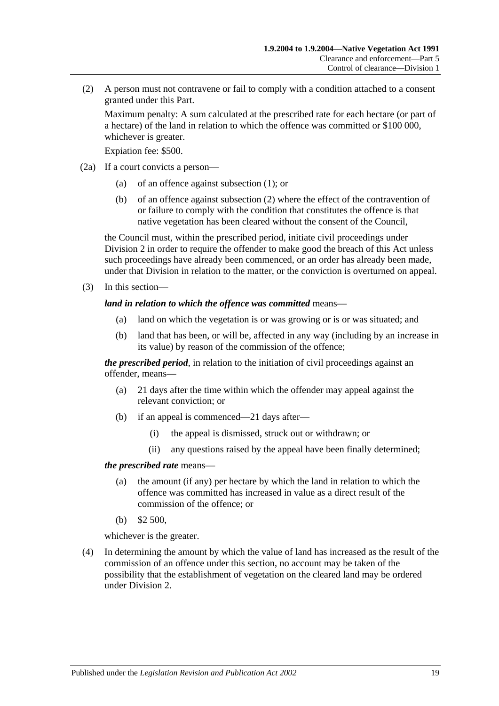<span id="page-18-0"></span>(2) A person must not contravene or fail to comply with a condition attached to a consent granted under this Part.

Maximum penalty: A sum calculated at the prescribed rate for each hectare (or part of a hectare) of the land in relation to which the offence was committed or \$100 000, whichever is greater.

Expiation fee: \$500.

- (2a) If a court convicts a person—
	- (a) of an offence against [subsection](#page-17-3) (1); or
	- (b) of an offence against [subsection](#page-18-0) (2) where the effect of the contravention of or failure to comply with the condition that constitutes the offence is that native vegetation has been cleared without the consent of the Council,

the Council must, within the prescribed period, initiate civil proceedings under [Division 2](#page-25-1) in order to require the offender to make good the breach of this Act unless such proceedings have already been commenced, or an order has already been made, under that Division in relation to the matter, or the conviction is overturned on appeal.

(3) In this section—

#### *land in relation to which the offence was committed* means—

- (a) land on which the vegetation is or was growing or is or was situated; and
- (b) land that has been, or will be, affected in any way (including by an increase in its value) by reason of the commission of the offence;

*the prescribed period*, in relation to the initiation of civil proceedings against an offender, means—

- (a) 21 days after the time within which the offender may appeal against the relevant conviction; or
- (b) if an appeal is commenced—21 days after—
	- (i) the appeal is dismissed, struck out or withdrawn; or
	- (ii) any questions raised by the appeal have been finally determined;

#### *the prescribed rate* means—

- (a) the amount (if any) per hectare by which the land in relation to which the offence was committed has increased in value as a direct result of the commission of the offence; or
- (b) \$2 500,

whichever is the greater.

(4) In determining the amount by which the value of land has increased as the result of the commission of an offence under this section, no account may be taken of the possibility that the establishment of vegetation on the cleared land may be ordered under [Division 2.](#page-25-1)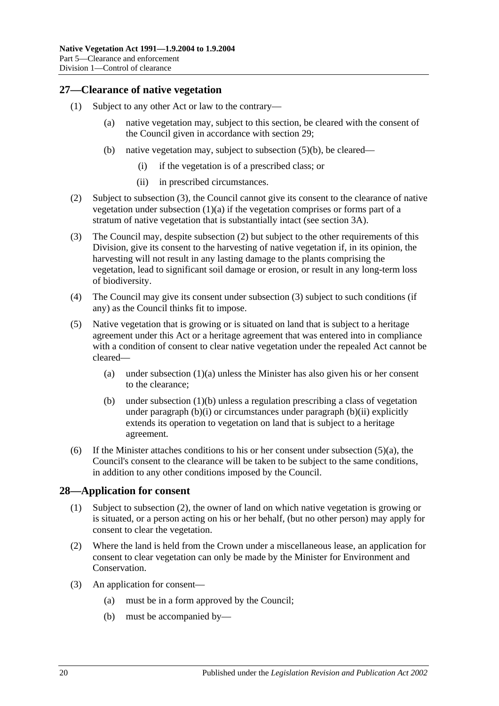### <span id="page-19-0"></span>**27—Clearance of native vegetation**

- <span id="page-19-6"></span><span id="page-19-4"></span>(1) Subject to any other Act or law to the contrary—
	- (a) native vegetation may, subject to this section, be cleared with the consent of the Council given in accordance with [section](#page-20-0) 29;
	- (b) native vegetation may, subject to [subsection](#page-19-2) (5)(b), be cleared—
		- (i) if the vegetation is of a prescribed class; or
		- (ii) in prescribed circumstances.
- <span id="page-19-8"></span><span id="page-19-7"></span><span id="page-19-5"></span>(2) Subject to [subsection](#page-19-3) (3), the Council cannot give its consent to the clearance of native vegetation under [subsection](#page-19-4) (1)(a) if the vegetation comprises or forms part of a stratum of native vegetation that is substantially intact (see [section](#page-4-0) 3A).
- <span id="page-19-3"></span>(3) The Council may, despite [subsection](#page-19-5) (2) but subject to the other requirements of this Division, give its consent to the harvesting of native vegetation if, in its opinion, the harvesting will not result in any lasting damage to the plants comprising the vegetation, lead to significant soil damage or erosion, or result in any long-term loss of biodiversity.
- (4) The Council may give its consent under [subsection](#page-19-3) (3) subject to such conditions (if any) as the Council thinks fit to impose.
- <span id="page-19-9"></span>(5) Native vegetation that is growing or is situated on land that is subject to a heritage agreement under this Act or a heritage agreement that was entered into in compliance with a condition of consent to clear native vegetation under the repealed Act cannot be cleared
	- (a) under [subsection](#page-19-4)  $(1)(a)$  unless the Minister has also given his or her consent to the clearance;
	- (b) under [subsection](#page-19-6) (1)(b) unless a regulation prescribing a class of vegetation under [paragraph](#page-19-8)  $(b)(i)$  or circumstances under paragraph  $(b)(ii)$  explicitly extends its operation to vegetation on land that is subject to a heritage agreement.
- <span id="page-19-2"></span>(6) If the Minister attaches conditions to his or her consent under [subsection](#page-19-9)  $(5)(a)$ , the Council's consent to the clearance will be taken to be subject to the same conditions, in addition to any other conditions imposed by the Council.

#### <span id="page-19-1"></span>**28—Application for consent**

- (1) Subject to [subsection](#page-19-10) (2), the owner of land on which native vegetation is growing or is situated, or a person acting on his or her behalf, (but no other person) may apply for consent to clear the vegetation.
- <span id="page-19-10"></span>(2) Where the land is held from the Crown under a miscellaneous lease, an application for consent to clear vegetation can only be made by the Minister for Environment and Conservation.
- (3) An application for consent—
	- (a) must be in a form approved by the Council;
	- (b) must be accompanied by—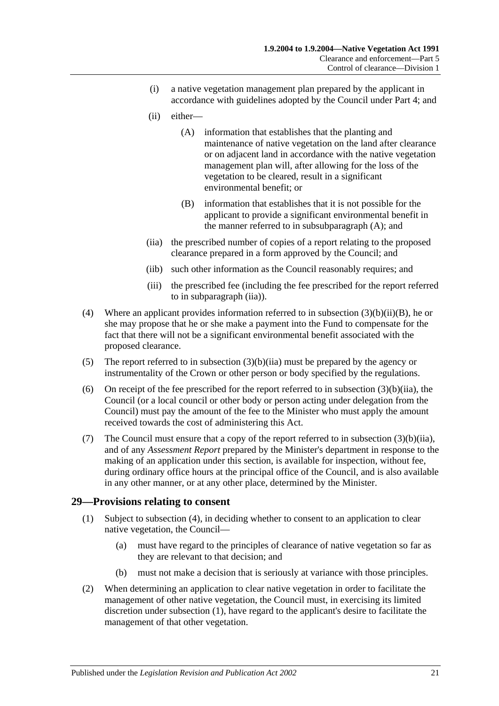- <span id="page-20-8"></span>(i) a native vegetation management plan prepared by the applicant in accordance with guidelines adopted by the Council under [Part 4;](#page-12-1) and
- <span id="page-20-3"></span>(ii) either—
	- (A) information that establishes that the planting and maintenance of native vegetation on the land after clearance or on adjacent land in accordance with the native vegetation management plan will, after allowing for the loss of the vegetation to be cleared, result in a significant environmental benefit; or
	- (B) information that establishes that it is not possible for the applicant to provide a significant environmental benefit in the manner referred to in [subsubparagraph](#page-20-3) (A); and
- <span id="page-20-4"></span><span id="page-20-2"></span>(iia) the prescribed number of copies of a report relating to the proposed clearance prepared in a form approved by the Council; and
- (iib) such other information as the Council reasonably requires; and
- (iii) the prescribed fee (including the fee prescribed for the report referred to in [subparagraph](#page-20-2) (iia)).
- <span id="page-20-7"></span><span id="page-20-1"></span>(4) Where an applicant provides information referred to in subsection  $(3)(b)(ii)(B)$ , he or she may propose that he or she make a payment into the Fund to compensate for the fact that there will not be a significant environmental benefit associated with the proposed clearance.
- (5) The report referred to in [subsection](#page-20-2) (3)(b)(iia) must be prepared by the agency or instrumentality of the Crown or other person or body specified by the regulations.
- (6) On receipt of the fee prescribed for the report referred to in [subsection](#page-20-2)  $(3)(b)(ii)$ , the Council (or a local council or other body or person acting under delegation from the Council) must pay the amount of the fee to the Minister who must apply the amount received towards the cost of administering this Act.
- (7) The Council must ensure that a copy of the report referred to in [subsection](#page-20-2)  $(3)(b)(iia)$ , and of any *Assessment Report* prepared by the Minister's department in response to the making of an application under this section, is available for inspection, without fee, during ordinary office hours at the principal office of the Council, and is also available in any other manner, or at any other place, determined by the Minister.

### <span id="page-20-5"></span><span id="page-20-0"></span>**29—Provisions relating to consent**

- (1) Subject to [subsection](#page-21-0) (4), in deciding whether to consent to an application to clear native vegetation, the Council—
	- (a) must have regard to the principles of clearance of native vegetation so far as they are relevant to that decision; and
	- (b) must not make a decision that is seriously at variance with those principles.
- <span id="page-20-6"></span>(2) When determining an application to clear native vegetation in order to facilitate the management of other native vegetation, the Council must, in exercising its limited discretion under [subsection](#page-20-5) (1), have regard to the applicant's desire to facilitate the management of that other vegetation.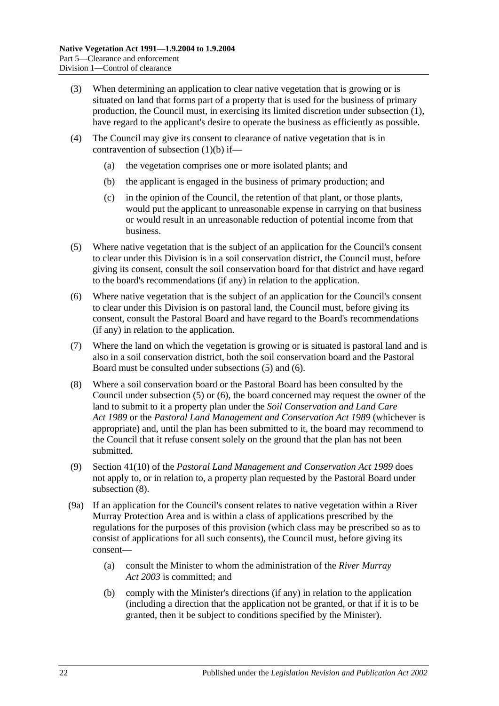- (3) When determining an application to clear native vegetation that is growing or is situated on land that forms part of a property that is used for the business of primary production, the Council must, in exercising its limited discretion under [subsection](#page-20-5) (1), have regard to the applicant's desire to operate the business as efficiently as possible.
- <span id="page-21-0"></span>(4) The Council may give its consent to clearance of native vegetation that is in contravention of [subsection](#page-20-6) (1)(b) if—
	- (a) the vegetation comprises one or more isolated plants; and
	- (b) the applicant is engaged in the business of primary production; and
	- (c) in the opinion of the Council, the retention of that plant, or those plants, would put the applicant to unreasonable expense in carrying on that business or would result in an unreasonable reduction of potential income from that business.
- <span id="page-21-1"></span>(5) Where native vegetation that is the subject of an application for the Council's consent to clear under this Division is in a soil conservation district, the Council must, before giving its consent, consult the soil conservation board for that district and have regard to the board's recommendations (if any) in relation to the application.
- <span id="page-21-2"></span>(6) Where native vegetation that is the subject of an application for the Council's consent to clear under this Division is on pastoral land, the Council must, before giving its consent, consult the Pastoral Board and have regard to the Board's recommendations (if any) in relation to the application.
- (7) Where the land on which the vegetation is growing or is situated is pastoral land and is also in a soil conservation district, both the soil conservation board and the Pastoral Board must be consulted under [subsections](#page-21-1) (5) and [\(6\).](#page-21-2)
- <span id="page-21-3"></span>(8) Where a soil conservation board or the Pastoral Board has been consulted by the Council under [subsection](#page-21-1) (5) or [\(6\),](#page-21-2) the board concerned may request the owner of the land to submit to it a property plan under the *[Soil Conservation and Land Care](http://www.legislation.sa.gov.au/index.aspx?action=legref&type=act&legtitle=Soil%20Conservation%20and%20Land%20Care%20Act%201989)  Act [1989](http://www.legislation.sa.gov.au/index.aspx?action=legref&type=act&legtitle=Soil%20Conservation%20and%20Land%20Care%20Act%201989)* or the *[Pastoral Land Management and Conservation Act](http://www.legislation.sa.gov.au/index.aspx?action=legref&type=act&legtitle=Pastoral%20Land%20Management%20and%20Conservation%20Act%201989) 1989* (whichever is appropriate) and, until the plan has been submitted to it, the board may recommend to the Council that it refuse consent solely on the ground that the plan has not been submitted.
- (9) Section 41(10) of the *[Pastoral Land Management and Conservation Act](http://www.legislation.sa.gov.au/index.aspx?action=legref&type=act&legtitle=Pastoral%20Land%20Management%20and%20Conservation%20Act%201989) 1989* does not apply to, or in relation to, a property plan requested by the Pastoral Board under [subsection](#page-21-3) (8).
- (9a) If an application for the Council's consent relates to native vegetation within a River Murray Protection Area and is within a class of applications prescribed by the regulations for the purposes of this provision (which class may be prescribed so as to consist of applications for all such consents), the Council must, before giving its consent—
	- (a) consult the Minister to whom the administration of the *[River Murray](http://www.legislation.sa.gov.au/index.aspx?action=legref&type=act&legtitle=River%20Murray%20Act%202003)  Act [2003](http://www.legislation.sa.gov.au/index.aspx?action=legref&type=act&legtitle=River%20Murray%20Act%202003)* is committed; and
	- (b) comply with the Minister's directions (if any) in relation to the application (including a direction that the application not be granted, or that if it is to be granted, then it be subject to conditions specified by the Minister).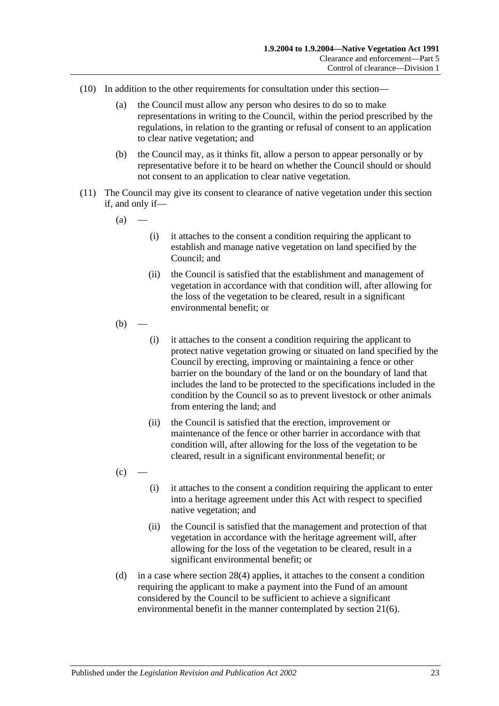- (10) In addition to the other requirements for consultation under this section—
	- (a) the Council must allow any person who desires to do so to make representations in writing to the Council, within the period prescribed by the regulations, in relation to the granting or refusal of consent to an application to clear native vegetation; and
	- (b) the Council may, as it thinks fit, allow a person to appear personally or by representative before it to be heard on whether the Council should or should not consent to an application to clear native vegetation.
- (11) The Council may give its consent to clearance of native vegetation under this section if, and only if—
	- $(a)$
- (i) it attaches to the consent a condition requiring the applicant to establish and manage native vegetation on land specified by the Council; and
- (ii) the Council is satisfied that the establishment and management of vegetation in accordance with that condition will, after allowing for the loss of the vegetation to be cleared, result in a significant environmental benefit; or
- $(b)$ 
	- (i) it attaches to the consent a condition requiring the applicant to protect native vegetation growing or situated on land specified by the Council by erecting, improving or maintaining a fence or other barrier on the boundary of the land or on the boundary of land that includes the land to be protected to the specifications included in the condition by the Council so as to prevent livestock or other animals from entering the land; and
	- (ii) the Council is satisfied that the erection, improvement or maintenance of the fence or other barrier in accordance with that condition will, after allowing for the loss of the vegetation to be cleared, result in a significant environmental benefit; or
- $(c)$
- (i) it attaches to the consent a condition requiring the applicant to enter into a heritage agreement under this Act with respect to specified native vegetation; and
- (ii) the Council is satisfied that the management and protection of that vegetation in accordance with the heritage agreement will, after allowing for the loss of the vegetation to be cleared, result in a significant environmental benefit; or
- <span id="page-22-0"></span>(d) in a case where [section](#page-20-7) 28(4) applies, it attaches to the consent a condition requiring the applicant to make a payment into the Fund of an amount considered by the Council to be sufficient to achieve a significant environmental benefit in the manner contemplated by [section](#page-12-5) 21(6).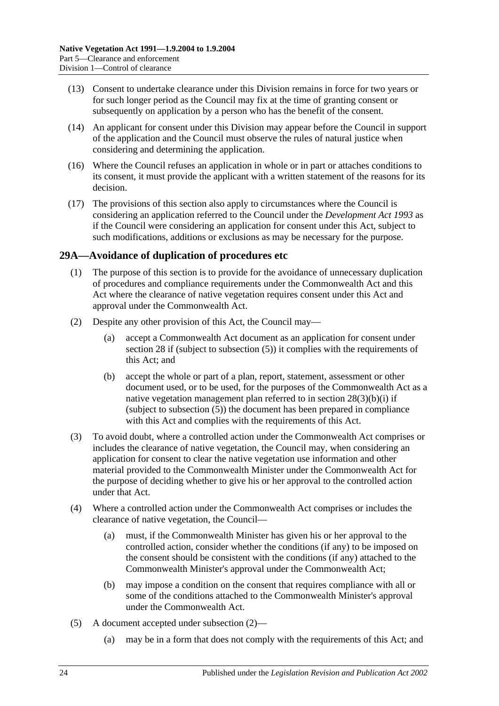- (13) Consent to undertake clearance under this Division remains in force for two years or for such longer period as the Council may fix at the time of granting consent or subsequently on application by a person who has the benefit of the consent.
- (14) An applicant for consent under this Division may appear before the Council in support of the application and the Council must observe the rules of natural justice when considering and determining the application.
- (16) Where the Council refuses an application in whole or in part or attaches conditions to its consent, it must provide the applicant with a written statement of the reasons for its decision.
- (17) The provisions of this section also apply to circumstances where the Council is considering an application referred to the Council under the *[Development Act](http://www.legislation.sa.gov.au/index.aspx?action=legref&type=act&legtitle=Development%20Act%201993) 1993* as if the Council were considering an application for consent under this Act, subject to such modifications, additions or exclusions as may be necessary for the purpose.

### <span id="page-23-0"></span>**29A—Avoidance of duplication of procedures etc**

- (1) The purpose of this section is to provide for the avoidance of unnecessary duplication of procedures and compliance requirements under the Commonwealth Act and this Act where the clearance of native vegetation requires consent under this Act and approval under the Commonwealth Act.
- <span id="page-23-2"></span>(2) Despite any other provision of this Act, the Council may—
	- (a) accept a Commonwealth Act document as an application for consent under [section](#page-19-1) 28 if (subject to [subsection](#page-23-1) (5)) it complies with the requirements of this Act; and
	- (b) accept the whole or part of a plan, report, statement, assessment or other document used, or to be used, for the purposes of the Commonwealth Act as a native vegetation management plan referred to in section [28\(3\)\(b\)\(i\)](#page-20-8) if (subject to [subsection](#page-23-1) (5)) the document has been prepared in compliance with this Act and complies with the requirements of this Act.
- (3) To avoid doubt, where a controlled action under the Commonwealth Act comprises or includes the clearance of native vegetation, the Council may, when considering an application for consent to clear the native vegetation use information and other material provided to the Commonwealth Minister under the Commonwealth Act for the purpose of deciding whether to give his or her approval to the controlled action under that Act.
- (4) Where a controlled action under the Commonwealth Act comprises or includes the clearance of native vegetation, the Council—
	- (a) must, if the Commonwealth Minister has given his or her approval to the controlled action, consider whether the conditions (if any) to be imposed on the consent should be consistent with the conditions (if any) attached to the Commonwealth Minister's approval under the Commonwealth Act;
	- (b) may impose a condition on the consent that requires compliance with all or some of the conditions attached to the Commonwealth Minister's approval under the Commonwealth Act.
- <span id="page-23-1"></span>(5) A document accepted under [subsection](#page-23-2) (2)—
	- (a) may be in a form that does not comply with the requirements of this Act; and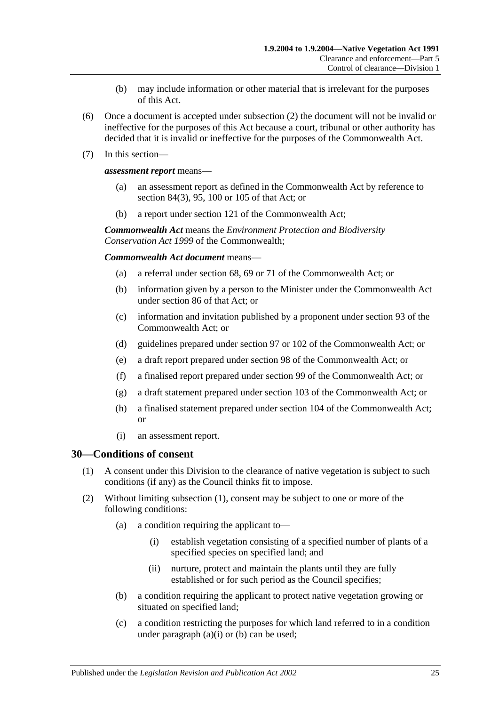- (b) may include information or other material that is irrelevant for the purposes of this Act.
- (6) Once a document is accepted under [subsection](#page-23-2) (2) the document will not be invalid or ineffective for the purposes of this Act because a court, tribunal or other authority has decided that it is invalid or ineffective for the purposes of the Commonwealth Act.
- (7) In this section—

*assessment report* means—

- (a) an assessment report as defined in the Commonwealth Act by reference to section 84(3), 95, 100 or 105 of that Act; or
- (b) a report under section 121 of the Commonwealth Act;

*Commonwealth Act* means the *Environment Protection and Biodiversity Conservation Act 1999* of the Commonwealth;

*Commonwealth Act document* means—

- (a) a referral under section 68, 69 or 71 of the Commonwealth Act; or
- (b) information given by a person to the Minister under the Commonwealth Act under section 86 of that Act; or
- (c) information and invitation published by a proponent under section 93 of the Commonwealth Act; or
- (d) guidelines prepared under section 97 or 102 of the Commonwealth Act; or
- (e) a draft report prepared under section 98 of the Commonwealth Act; or
- (f) a finalised report prepared under section 99 of the Commonwealth Act; or
- (g) a draft statement prepared under section 103 of the Commonwealth Act; or
- (h) a finalised statement prepared under section 104 of the Commonwealth Act; or
- (i) an assessment report.

#### <span id="page-24-1"></span><span id="page-24-0"></span>**30—Conditions of consent**

- (1) A consent under this Division to the clearance of native vegetation is subject to such conditions (if any) as the Council thinks fit to impose.
- <span id="page-24-5"></span><span id="page-24-4"></span><span id="page-24-3"></span><span id="page-24-2"></span>(2) Without limiting [subsection](#page-24-1) (1), consent may be subject to one or more of the following conditions:
	- (a) a condition requiring the applicant to—
		- (i) establish vegetation consisting of a specified number of plants of a specified species on specified land; and
		- (ii) nurture, protect and maintain the plants until they are fully established or for such period as the Council specifies;
	- (b) a condition requiring the applicant to protect native vegetation growing or situated on specified land;
	- (c) a condition restricting the purposes for which land referred to in a condition under [paragraph](#page-24-2) (a)(i) or [\(b\)](#page-24-3) can be used;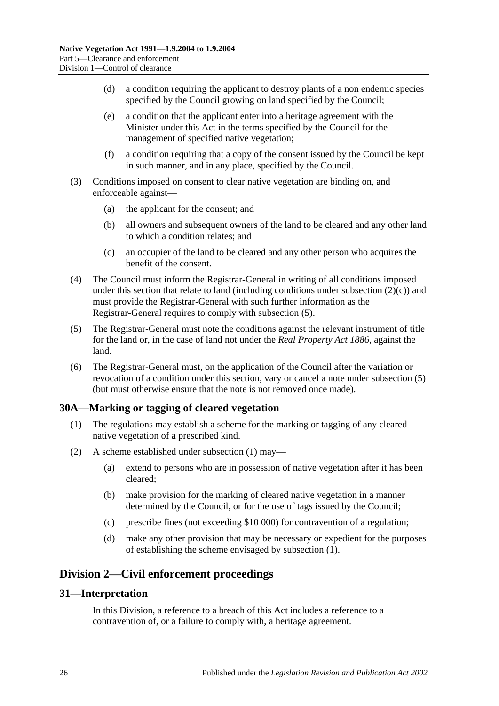- (d) a condition requiring the applicant to destroy plants of a non endemic species specified by the Council growing on land specified by the Council;
- (e) a condition that the applicant enter into a heritage agreement with the Minister under this Act in the terms specified by the Council for the management of specified native vegetation;
- (f) a condition requiring that a copy of the consent issued by the Council be kept in such manner, and in any place, specified by the Council.
- (3) Conditions imposed on consent to clear native vegetation are binding on, and enforceable against—
	- (a) the applicant for the consent; and
	- (b) all owners and subsequent owners of the land to be cleared and any other land to which a condition relates; and
	- (c) an occupier of the land to be cleared and any other person who acquires the benefit of the consent.
- (4) The Council must inform the Registrar-General in writing of all conditions imposed under this section that relate to land (including conditions under [subsection](#page-24-4)  $(2)(c)$ ) and must provide the Registrar-General with such further information as the Registrar-General requires to comply with [subsection](#page-25-3) (5).
- <span id="page-25-3"></span>(5) The Registrar-General must note the conditions against the relevant instrument of title for the land or, in the case of land not under the *[Real Property Act](http://www.legislation.sa.gov.au/index.aspx?action=legref&type=act&legtitle=Real%20Property%20Act%201886) 1886*, against the land.
- (6) The Registrar-General must, on the application of the Council after the variation or revocation of a condition under this section, vary or cancel a note under [subsection](#page-25-3) (5) (but must otherwise ensure that the note is not removed once made).

### <span id="page-25-4"></span><span id="page-25-0"></span>**30A—Marking or tagging of cleared vegetation**

- (1) The regulations may establish a scheme for the marking or tagging of any cleared native vegetation of a prescribed kind.
- (2) A scheme established under [subsection](#page-25-4) (1) may—
	- (a) extend to persons who are in possession of native vegetation after it has been cleared;
	- (b) make provision for the marking of cleared native vegetation in a manner determined by the Council, or for the use of tags issued by the Council;
	- (c) prescribe fines (not exceeding \$10 000) for contravention of a regulation;
	- (d) make any other provision that may be necessary or expedient for the purposes of establishing the scheme envisaged by [subsection](#page-25-4) (1).

## <span id="page-25-1"></span>**Division 2—Civil enforcement proceedings**

#### <span id="page-25-2"></span>**31—Interpretation**

In this Division, a reference to a breach of this Act includes a reference to a contravention of, or a failure to comply with, a heritage agreement.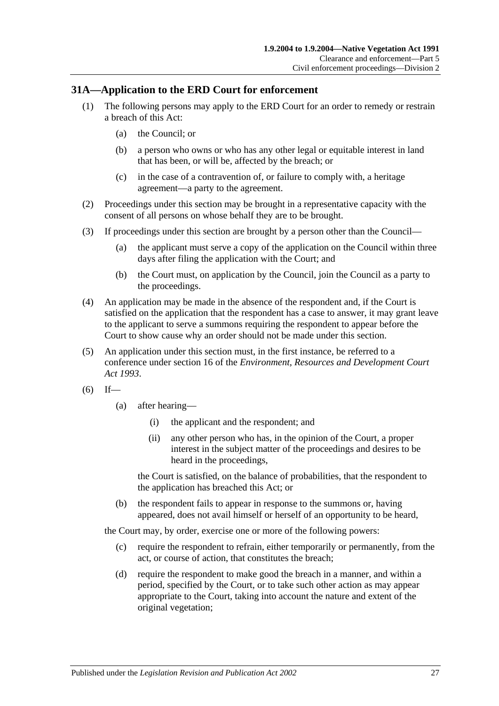### <span id="page-26-0"></span>**31A—Application to the ERD Court for enforcement**

- (1) The following persons may apply to the ERD Court for an order to remedy or restrain a breach of this Act:
	- (a) the Council; or
	- (b) a person who owns or who has any other legal or equitable interest in land that has been, or will be, affected by the breach; or
	- (c) in the case of a contravention of, or failure to comply with, a heritage agreement—a party to the agreement.
- (2) Proceedings under this section may be brought in a representative capacity with the consent of all persons on whose behalf they are to be brought.
- (3) If proceedings under this section are brought by a person other than the Council—
	- (a) the applicant must serve a copy of the application on the Council within three days after filing the application with the Court; and
	- (b) the Court must, on application by the Council, join the Council as a party to the proceedings.
- (4) An application may be made in the absence of the respondent and, if the Court is satisfied on the application that the respondent has a case to answer, it may grant leave to the applicant to serve a summons requiring the respondent to appear before the Court to show cause why an order should not be made under this section.
- <span id="page-26-2"></span>(5) An application under this section must, in the first instance, be referred to a conference under section 16 of the *[Environment, Resources and Development Court](http://www.legislation.sa.gov.au/index.aspx?action=legref&type=act&legtitle=Environment%20Resources%20and%20Development%20Court%20Act%201993)  Act [1993](http://www.legislation.sa.gov.au/index.aspx?action=legref&type=act&legtitle=Environment%20Resources%20and%20Development%20Court%20Act%201993)*.
- $(6)$  If—
	- (a) after hearing—
		- (i) the applicant and the respondent; and
		- (ii) any other person who has, in the opinion of the Court, a proper interest in the subject matter of the proceedings and desires to be heard in the proceedings,

the Court is satisfied, on the balance of probabilities, that the respondent to the application has breached this Act; or

(b) the respondent fails to appear in response to the summons or, having appeared, does not avail himself or herself of an opportunity to be heard,

the Court may, by order, exercise one or more of the following powers:

- (c) require the respondent to refrain, either temporarily or permanently, from the act, or course of action, that constitutes the breach;
- <span id="page-26-1"></span>(d) require the respondent to make good the breach in a manner, and within a period, specified by the Court, or to take such other action as may appear appropriate to the Court, taking into account the nature and extent of the original vegetation;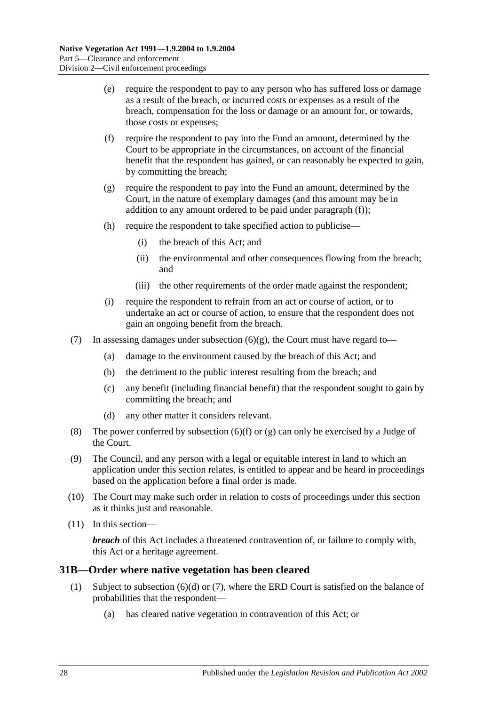- (e) require the respondent to pay to any person who has suffered loss or damage as a result of the breach, or incurred costs or expenses as a result of the breach, compensation for the loss or damage or an amount for, or towards, those costs or expenses;
- <span id="page-27-1"></span>(f) require the respondent to pay into the Fund an amount, determined by the Court to be appropriate in the circumstances, on account of the financial benefit that the respondent has gained, or can reasonably be expected to gain, by committing the breach;
- <span id="page-27-2"></span>(g) require the respondent to pay into the Fund an amount, determined by the Court, in the nature of exemplary damages (and this amount may be in addition to any amount ordered to be paid under [paragraph](#page-27-1) (f));
- (h) require the respondent to take specified action to publicise—
	- (i) the breach of this Act; and
	- (ii) the environmental and other consequences flowing from the breach; and
	- (iii) the other requirements of the order made against the respondent;
- (i) require the respondent to refrain from an act or course of action, or to undertake an act or course of action, to ensure that the respondent does not gain an ongoing benefit from the breach.
- (7) In assessing damages under [subsection](#page-27-2)  $(6)(g)$ , the Court must have regard to-
	- (a) damage to the environment caused by the breach of this Act; and
	- (b) the detriment to the public interest resulting from the breach; and
	- (c) any benefit (including financial benefit) that the respondent sought to gain by committing the breach; and
	- (d) any other matter it considers relevant.
- <span id="page-27-4"></span>(8) The power conferred by [subsection](#page-27-1) (6)(f) or [\(g\)](#page-27-2) can only be exercised by a Judge of the Court.
- (9) The Council, and any person with a legal or equitable interest in land to which an application under this section relates, is entitled to appear and be heard in proceedings based on the application before a final order is made.
- (10) The Court may make such order in relation to costs of proceedings under this section as it thinks just and reasonable.
- (11) In this section—

*breach* of this Act includes a threatened contravention of, or failure to comply with, this Act or a heritage agreement.

### <span id="page-27-3"></span><span id="page-27-0"></span>**31B—Order where native vegetation has been cleared**

- (1) Subject to [subsection](#page-28-0) (6)(d) or [\(7\),](#page-28-1) where the ERD Court is satisfied on the balance of probabilities that the respondent—
	- (a) has cleared native vegetation in contravention of this Act; or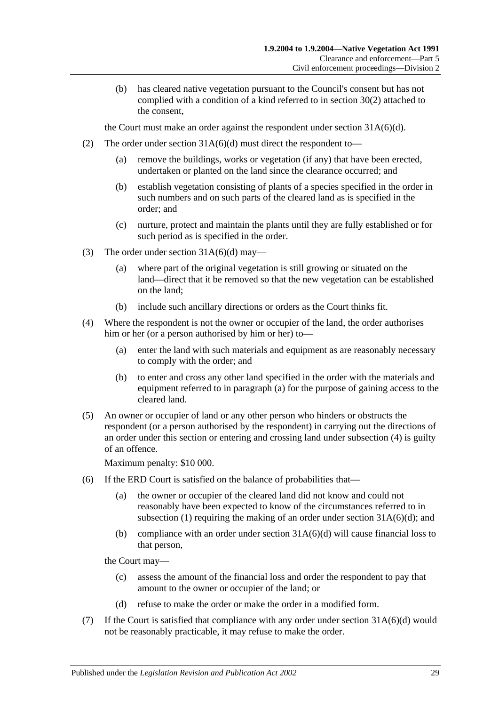(b) has cleared native vegetation pursuant to the Council's consent but has not complied with a condition of a kind referred to in [section](#page-24-5) 30(2) attached to the consent,

the Court must make an order against the respondent under section  $31A(6)(d)$ .

- (2) The order under section  $31A(6)(d)$  must direct the respondent to—
	- (a) remove the buildings, works or vegetation (if any) that have been erected, undertaken or planted on the land since the clearance occurred; and
	- (b) establish vegetation consisting of plants of a species specified in the order in such numbers and on such parts of the cleared land as is specified in the order; and
	- (c) nurture, protect and maintain the plants until they are fully established or for such period as is specified in the order.
- (3) The order under section  $31A(6)(d)$  may—
	- (a) where part of the original vegetation is still growing or situated on the land—direct that it be removed so that the new vegetation can be established on the land;
	- (b) include such ancillary directions or orders as the Court thinks fit.
- <span id="page-28-3"></span><span id="page-28-2"></span>(4) Where the respondent is not the owner or occupier of the land, the order authorises him or her (or a person authorised by him or her) to—
	- (a) enter the land with such materials and equipment as are reasonably necessary to comply with the order; and
	- (b) to enter and cross any other land specified in the order with the materials and equipment referred to in [paragraph](#page-28-2) (a) for the purpose of gaining access to the cleared land.
- <span id="page-28-4"></span>(5) An owner or occupier of land or any other person who hinders or obstructs the respondent (or a person authorised by the respondent) in carrying out the directions of an order under this section or entering and crossing land under [subsection](#page-28-3) (4) is guilty of an offence.

Maximum penalty: \$10 000.

- (6) If the ERD Court is satisfied on the balance of probabilities that—
	- (a) the owner or occupier of the cleared land did not know and could not reasonably have been expected to know of the circumstances referred to in [subsection](#page-27-3) (1) requiring the making of an order under section  $31A(6)(d)$ ; and
	- (b) compliance with an order under section  $31A(6)(d)$  will cause financial loss to that person,

the Court may—

- (c) assess the amount of the financial loss and order the respondent to pay that amount to the owner or occupier of the land; or
- (d) refuse to make the order or make the order in a modified form.
- <span id="page-28-1"></span><span id="page-28-0"></span>(7) If the Court is satisfied that compliance with any order under section  $31A(6)(d)$  would not be reasonably practicable, it may refuse to make the order.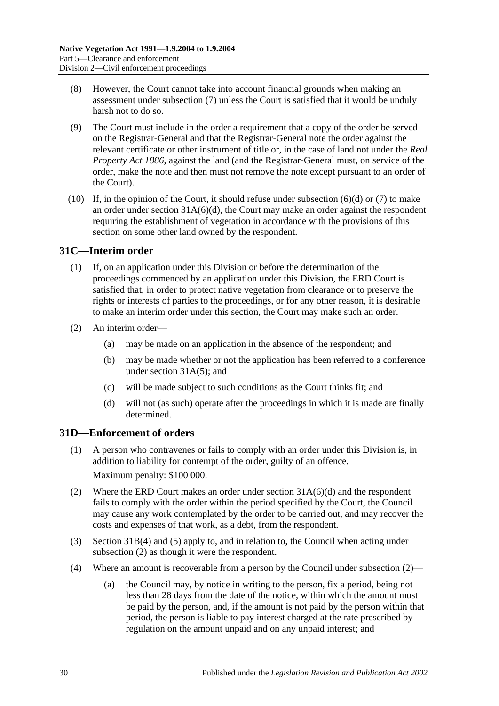- (8) However, the Court cannot take into account financial grounds when making an assessment under [subsection](#page-28-1) (7) unless the Court is satisfied that it would be unduly harsh not to do so.
- (9) The Court must include in the order a requirement that a copy of the order be served on the Registrar-General and that the Registrar-General note the order against the relevant certificate or other instrument of title or, in the case of land not under the *[Real](http://www.legislation.sa.gov.au/index.aspx?action=legref&type=act&legtitle=Real%20Property%20Act%201886)  [Property Act](http://www.legislation.sa.gov.au/index.aspx?action=legref&type=act&legtitle=Real%20Property%20Act%201886) 1886*, against the land (and the Registrar-General must, on service of the order, make the note and then must not remove the note except pursuant to an order of the Court).
- (10) If, in the opinion of the Court, it should refuse under [subsection](#page-28-0)  $(6)(d)$  or  $(7)$  to make an order under section  $31A(6)(d)$ , the Court may make an order against the respondent requiring the establishment of vegetation in accordance with the provisions of this section on some other land owned by the respondent.

### <span id="page-29-0"></span>**31C—Interim order**

- (1) If, on an application under this Division or before the determination of the proceedings commenced by an application under this Division, the ERD Court is satisfied that, in order to protect native vegetation from clearance or to preserve the rights or interests of parties to the proceedings, or for any other reason, it is desirable to make an interim order under this section, the Court may make such an order.
- (2) An interim order—
	- (a) may be made on an application in the absence of the respondent; and
	- (b) may be made whether or not the application has been referred to a conference under section [31A\(5\);](#page-26-2) and
	- (c) will be made subject to such conditions as the Court thinks fit; and
	- (d) will not (as such) operate after the proceedings in which it is made are finally determined.

## <span id="page-29-1"></span>**31D—Enforcement of orders**

- (1) A person who contravenes or fails to comply with an order under this Division is, in addition to liability for contempt of the order, guilty of an offence. Maximum penalty: \$100 000.
- <span id="page-29-2"></span>(2) Where the ERD Court makes an order under section [31A\(6\)\(d\)](#page-26-1) and the respondent fails to comply with the order within the period specified by the Court, the Council may cause any work contemplated by the order to be carried out, and may recover the costs and expenses of that work, as a debt, from the respondent.
- (3) [Section](#page-28-3) 31B(4) and [\(5\)](#page-28-4) apply to, and in relation to, the Council when acting under [subsection](#page-29-2) (2) as though it were the respondent.
- <span id="page-29-3"></span>(4) Where an amount is recoverable from a person by the Council under [subsection](#page-29-2) (2)—
	- (a) the Council may, by notice in writing to the person, fix a period, being not less than 28 days from the date of the notice, within which the amount must be paid by the person, and, if the amount is not paid by the person within that period, the person is liable to pay interest charged at the rate prescribed by regulation on the amount unpaid and on any unpaid interest; and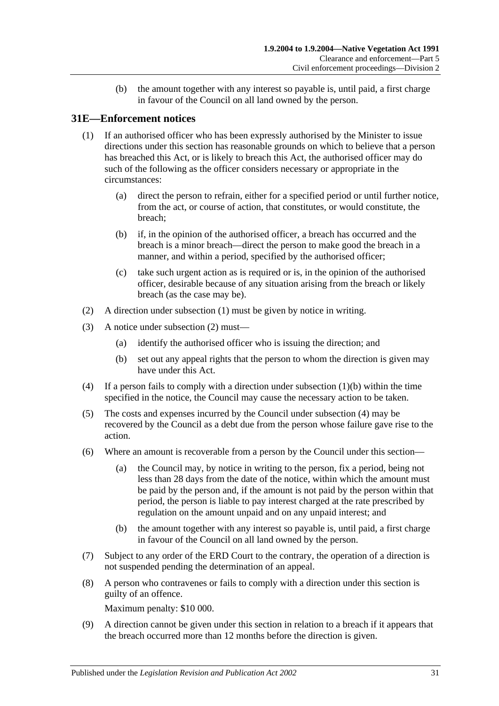(b) the amount together with any interest so payable is, until paid, a first charge in favour of the Council on all land owned by the person.

### <span id="page-30-1"></span><span id="page-30-0"></span>**31E—Enforcement notices**

- (1) If an authorised officer who has been expressly authorised by the Minister to issue directions under this section has reasonable grounds on which to believe that a person has breached this Act, or is likely to breach this Act, the authorised officer may do such of the following as the officer considers necessary or appropriate in the circumstances:
	- (a) direct the person to refrain, either for a specified period or until further notice, from the act, or course of action, that constitutes, or would constitute, the breach;
	- (b) if, in the opinion of the authorised officer, a breach has occurred and the breach is a minor breach—direct the person to make good the breach in a manner, and within a period, specified by the authorised officer;
	- (c) take such urgent action as is required or is, in the opinion of the authorised officer, desirable because of any situation arising from the breach or likely breach (as the case may be).
- <span id="page-30-3"></span><span id="page-30-2"></span>(2) A direction under [subsection](#page-30-1) (1) must be given by notice in writing.
- (3) A notice under [subsection](#page-30-2) (2) must—
	- (a) identify the authorised officer who is issuing the direction; and
	- (b) set out any appeal rights that the person to whom the direction is given may have under this Act.
- <span id="page-30-4"></span>(4) If a person fails to comply with a direction under [subsection](#page-30-3) (1)(b) within the time specified in the notice, the Council may cause the necessary action to be taken.
- (5) The costs and expenses incurred by the Council under [subsection](#page-30-4) (4) may be recovered by the Council as a debt due from the person whose failure gave rise to the action.
- <span id="page-30-5"></span>(6) Where an amount is recoverable from a person by the Council under this section—
	- (a) the Council may, by notice in writing to the person, fix a period, being not less than 28 days from the date of the notice, within which the amount must be paid by the person and, if the amount is not paid by the person within that period, the person is liable to pay interest charged at the rate prescribed by regulation on the amount unpaid and on any unpaid interest; and
	- (b) the amount together with any interest so payable is, until paid, a first charge in favour of the Council on all land owned by the person.
- (7) Subject to any order of the ERD Court to the contrary, the operation of a direction is not suspended pending the determination of an appeal.
- (8) A person who contravenes or fails to comply with a direction under this section is guilty of an offence.

Maximum penalty: \$10 000.

(9) A direction cannot be given under this section in relation to a breach if it appears that the breach occurred more than 12 months before the direction is given.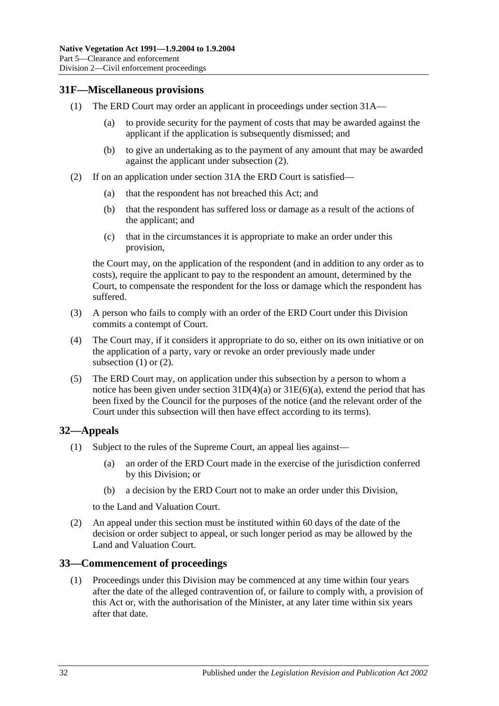### <span id="page-31-4"></span><span id="page-31-0"></span>**31F—Miscellaneous provisions**

- (1) The ERD Court may order an applicant in proceedings under [section](#page-26-0) 31A—
	- (a) to provide security for the payment of costs that may be awarded against the applicant if the application is subsequently dismissed; and
	- (b) to give an undertaking as to the payment of any amount that may be awarded against the applicant under [subsection](#page-31-3) (2).
- <span id="page-31-3"></span>(2) If on an application under [section](#page-26-0) 31A the ERD Court is satisfied—
	- (a) that the respondent has not breached this Act; and
	- (b) that the respondent has suffered loss or damage as a result of the actions of the applicant; and
	- (c) that in the circumstances it is appropriate to make an order under this provision,

the Court may, on the application of the respondent (and in addition to any order as to costs), require the applicant to pay to the respondent an amount, determined by the Court, to compensate the respondent for the loss or damage which the respondent has suffered.

- (3) A person who fails to comply with an order of the ERD Court under this Division commits a contempt of Court.
- (4) The Court may, if it considers it appropriate to do so, either on its own initiative or on the application of a party, vary or revoke an order previously made under [subsection](#page-31-4)  $(1)$  or  $(2)$ .
- (5) The ERD Court may, on application under this subsection by a person to whom a notice has been given under section  $31D(4)(a)$  or  $31E(6)(a)$ , extend the period that has been fixed by the Council for the purposes of the notice (and the relevant order of the Court under this subsection will then have effect according to its terms).

## <span id="page-31-1"></span>**32—Appeals**

- (1) Subject to the rules of the Supreme Court, an appeal lies against—
	- (a) an order of the ERD Court made in the exercise of the jurisdiction conferred by this Division; or
	- (b) a decision by the ERD Court not to make an order under this Division,

to the Land and Valuation Court.

(2) An appeal under this section must be instituted within 60 days of the date of the decision or order subject to appeal, or such longer period as may be allowed by the Land and Valuation Court.

### <span id="page-31-2"></span>**33—Commencement of proceedings**

(1) Proceedings under this Division may be commenced at any time within four years after the date of the alleged contravention of, or failure to comply with, a provision of this Act or, with the authorisation of the Minister, at any later time within six years after that date.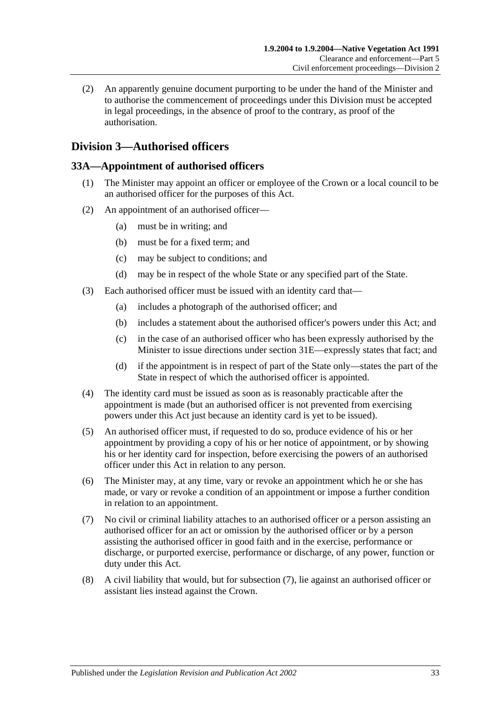(2) An apparently genuine document purporting to be under the hand of the Minister and to authorise the commencement of proceedings under this Division must be accepted in legal proceedings, in the absence of proof to the contrary, as proof of the authorisation.

## <span id="page-32-0"></span>**Division 3—Authorised officers**

### <span id="page-32-1"></span>**33A—Appointment of authorised officers**

- (1) The Minister may appoint an officer or employee of the Crown or a local council to be an authorised officer for the purposes of this Act.
- (2) An appointment of an authorised officer—
	- (a) must be in writing; and
	- (b) must be for a fixed term; and
	- (c) may be subject to conditions; and
	- (d) may be in respect of the whole State or any specified part of the State.
- (3) Each authorised officer must be issued with an identity card that—
	- (a) includes a photograph of the authorised officer; and
	- (b) includes a statement about the authorised officer's powers under this Act; and
	- (c) in the case of an authorised officer who has been expressly authorised by the Minister to issue directions under [section](#page-30-0) 31E—expressly states that fact; and
	- (d) if the appointment is in respect of part of the State only—states the part of the State in respect of which the authorised officer is appointed.
- (4) The identity card must be issued as soon as is reasonably practicable after the appointment is made (but an authorised officer is not prevented from exercising powers under this Act just because an identity card is yet to be issued).
- (5) An authorised officer must, if requested to do so, produce evidence of his or her appointment by providing a copy of his or her notice of appointment, or by showing his or her identity card for inspection, before exercising the powers of an authorised officer under this Act in relation to any person.
- (6) The Minister may, at any time, vary or revoke an appointment which he or she has made, or vary or revoke a condition of an appointment or impose a further condition in relation to an appointment.
- <span id="page-32-2"></span>(7) No civil or criminal liability attaches to an authorised officer or a person assisting an authorised officer for an act or omission by the authorised officer or by a person assisting the authorised officer in good faith and in the exercise, performance or discharge, or purported exercise, performance or discharge, of any power, function or duty under this Act.
- (8) A civil liability that would, but for [subsection](#page-32-2) (7), lie against an authorised officer or assistant lies instead against the Crown.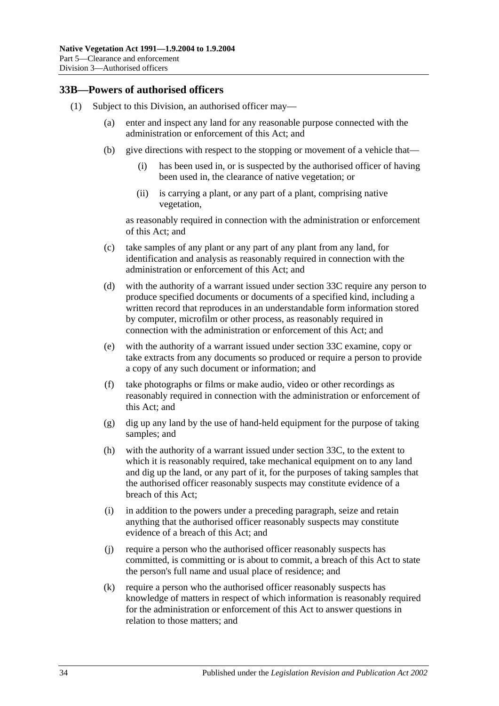### <span id="page-33-2"></span><span id="page-33-0"></span>**33B—Powers of authorised officers**

- <span id="page-33-1"></span>(1) Subject to this Division, an authorised officer may—
	- (a) enter and inspect any land for any reasonable purpose connected with the administration or enforcement of this Act; and
	- (b) give directions with respect to the stopping or movement of a vehicle that—
		- (i) has been used in, or is suspected by the authorised officer of having been used in, the clearance of native vegetation; or
		- (ii) is carrying a plant, or any part of a plant, comprising native vegetation,

as reasonably required in connection with the administration or enforcement of this Act; and

- (c) take samples of any plant or any part of any plant from any land, for identification and analysis as reasonably required in connection with the administration or enforcement of this Act; and
- <span id="page-33-4"></span>(d) with the authority of a warrant issued under [section](#page-35-0) 33C require any person to produce specified documents or documents of a specified kind, including a written record that reproduces in an understandable form information stored by computer, microfilm or other process, as reasonably required in connection with the administration or enforcement of this Act; and
- <span id="page-33-5"></span>(e) with the authority of a warrant issued under [section](#page-35-0) 33C examine, copy or take extracts from any documents so produced or require a person to provide a copy of any such document or information; and
- (f) take photographs or films or make audio, video or other recordings as reasonably required in connection with the administration or enforcement of this Act; and
- (g) dig up any land by the use of hand-held equipment for the purpose of taking samples; and
- <span id="page-33-6"></span>(h) with the authority of a warrant issued under [section](#page-35-0) 33C, to the extent to which it is reasonably required, take mechanical equipment on to any land and dig up the land, or any part of it, for the purposes of taking samples that the authorised officer reasonably suspects may constitute evidence of a breach of this Act;
- (i) in addition to the powers under a preceding paragraph, seize and retain anything that the authorised officer reasonably suspects may constitute evidence of a breach of this Act; and
- (j) require a person who the authorised officer reasonably suspects has committed, is committing or is about to commit, a breach of this Act to state the person's full name and usual place of residence; and
- <span id="page-33-3"></span>(k) require a person who the authorised officer reasonably suspects has knowledge of matters in respect of which information is reasonably required for the administration or enforcement of this Act to answer questions in relation to those matters; and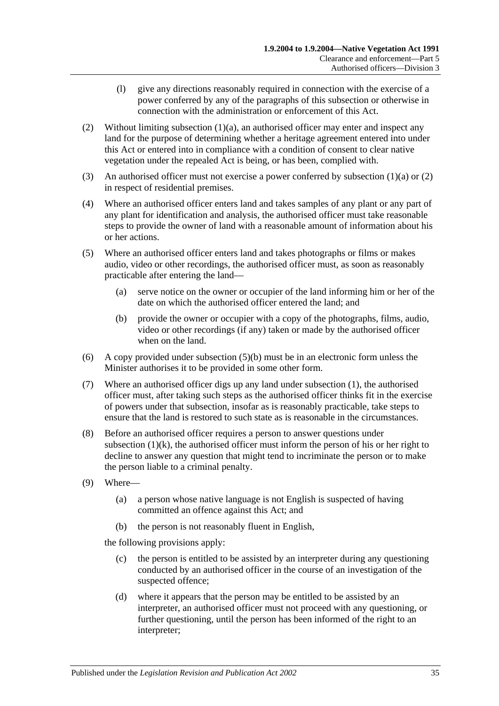- (l) give any directions reasonably required in connection with the exercise of a power conferred by any of the paragraphs of this subsection or otherwise in connection with the administration or enforcement of this Act.
- <span id="page-34-0"></span>(2) Without limiting [subsection](#page-33-1)  $(1)(a)$ , an authorised officer may enter and inspect any land for the purpose of determining whether a heritage agreement entered into under this Act or entered into in compliance with a condition of consent to clear native vegetation under the repealed Act is being, or has been, complied with.
- (3) An authorised officer must not exercise a power conferred by [subsection](#page-33-1) (1)(a) or [\(2\)](#page-34-0) in respect of residential premises.
- (4) Where an authorised officer enters land and takes samples of any plant or any part of any plant for identification and analysis, the authorised officer must take reasonable steps to provide the owner of land with a reasonable amount of information about his or her actions.
- (5) Where an authorised officer enters land and takes photographs or films or makes audio, video or other recordings, the authorised officer must, as soon as reasonably practicable after entering the land—
	- (a) serve notice on the owner or occupier of the land informing him or her of the date on which the authorised officer entered the land; and
	- (b) provide the owner or occupier with a copy of the photographs, films, audio, video or other recordings (if any) taken or made by the authorised officer when on the land.
- <span id="page-34-1"></span>(6) A copy provided under [subsection](#page-34-1) (5)(b) must be in an electronic form unless the Minister authorises it to be provided in some other form.
- (7) Where an authorised officer digs up any land under [subsection](#page-33-2) (1), the authorised officer must, after taking such steps as the authorised officer thinks fit in the exercise of powers under that subsection, insofar as is reasonably practicable, take steps to ensure that the land is restored to such state as is reasonable in the circumstances.
- (8) Before an authorised officer requires a person to answer questions under [subsection](#page-33-3)  $(1)(k)$ , the authorised officer must inform the person of his or her right to decline to answer any question that might tend to incriminate the person or to make the person liable to a criminal penalty.
- (9) Where—
	- (a) a person whose native language is not English is suspected of having committed an offence against this Act; and
	- (b) the person is not reasonably fluent in English,

the following provisions apply:

- (c) the person is entitled to be assisted by an interpreter during any questioning conducted by an authorised officer in the course of an investigation of the suspected offence;
- (d) where it appears that the person may be entitled to be assisted by an interpreter, an authorised officer must not proceed with any questioning, or further questioning, until the person has been informed of the right to an interpreter;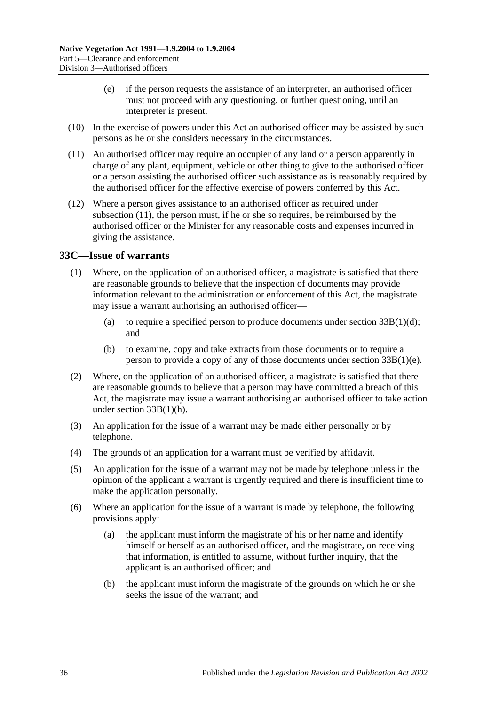- (e) if the person requests the assistance of an interpreter, an authorised officer must not proceed with any questioning, or further questioning, until an interpreter is present.
- (10) In the exercise of powers under this Act an authorised officer may be assisted by such persons as he or she considers necessary in the circumstances.
- <span id="page-35-1"></span>(11) An authorised officer may require an occupier of any land or a person apparently in charge of any plant, equipment, vehicle or other thing to give to the authorised officer or a person assisting the authorised officer such assistance as is reasonably required by the authorised officer for the effective exercise of powers conferred by this Act.
- (12) Where a person gives assistance to an authorised officer as required under [subsection](#page-35-1) (11), the person must, if he or she so requires, be reimbursed by the authorised officer or the Minister for any reasonable costs and expenses incurred in giving the assistance.

### <span id="page-35-0"></span>**33C—Issue of warrants**

- (1) Where, on the application of an authorised officer, a magistrate is satisfied that there are reasonable grounds to believe that the inspection of documents may provide information relevant to the administration or enforcement of this Act, the magistrate may issue a warrant authorising an authorised officer—
	- (a) to require a specified person to produce documents under section  $33B(1)(d)$ ; and
	- (b) to examine, copy and take extracts from those documents or to require a person to provide a copy of any of those documents under section [33B\(1\)\(e\).](#page-33-5)
- (2) Where, on the application of an authorised officer, a magistrate is satisfied that there are reasonable grounds to believe that a person may have committed a breach of this Act, the magistrate may issue a warrant authorising an authorised officer to take action under section [33B\(1\)\(h\).](#page-33-6)
- (3) An application for the issue of a warrant may be made either personally or by telephone.
- (4) The grounds of an application for a warrant must be verified by affidavit.
- (5) An application for the issue of a warrant may not be made by telephone unless in the opinion of the applicant a warrant is urgently required and there is insufficient time to make the application personally.
- (6) Where an application for the issue of a warrant is made by telephone, the following provisions apply:
	- (a) the applicant must inform the magistrate of his or her name and identify himself or herself as an authorised officer, and the magistrate, on receiving that information, is entitled to assume, without further inquiry, that the applicant is an authorised officer; and
	- (b) the applicant must inform the magistrate of the grounds on which he or she seeks the issue of the warrant; and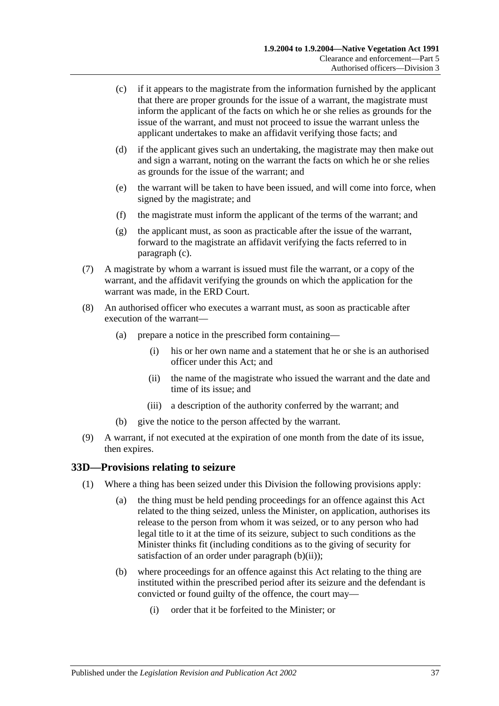- <span id="page-36-1"></span>(c) if it appears to the magistrate from the information furnished by the applicant that there are proper grounds for the issue of a warrant, the magistrate must inform the applicant of the facts on which he or she relies as grounds for the issue of the warrant, and must not proceed to issue the warrant unless the applicant undertakes to make an affidavit verifying those facts; and
- (d) if the applicant gives such an undertaking, the magistrate may then make out and sign a warrant, noting on the warrant the facts on which he or she relies as grounds for the issue of the warrant; and
- (e) the warrant will be taken to have been issued, and will come into force, when signed by the magistrate; and
- (f) the magistrate must inform the applicant of the terms of the warrant; and
- (g) the applicant must, as soon as practicable after the issue of the warrant, forward to the magistrate an affidavit verifying the facts referred to in [paragraph](#page-36-1) (c).
- (7) A magistrate by whom a warrant is issued must file the warrant, or a copy of the warrant, and the affidavit verifying the grounds on which the application for the warrant was made, in the ERD Court.
- (8) An authorised officer who executes a warrant must, as soon as practicable after execution of the warrant—
	- (a) prepare a notice in the prescribed form containing—
		- (i) his or her own name and a statement that he or she is an authorised officer under this Act; and
		- (ii) the name of the magistrate who issued the warrant and the date and time of its issue; and
		- (iii) a description of the authority conferred by the warrant; and
	- (b) give the notice to the person affected by the warrant.
- (9) A warrant, if not executed at the expiration of one month from the date of its issue, then expires.

#### <span id="page-36-4"></span><span id="page-36-0"></span>**33D—Provisions relating to seizure**

- <span id="page-36-3"></span><span id="page-36-2"></span>(1) Where a thing has been seized under this Division the following provisions apply:
	- (a) the thing must be held pending proceedings for an offence against this Act related to the thing seized, unless the Minister, on application, authorises its release to the person from whom it was seized, or to any person who had legal title to it at the time of its seizure, subject to such conditions as the Minister thinks fit (including conditions as to the giving of security for satisfaction of an order under [paragraph](#page-37-1) (b)(ii));
	- (b) where proceedings for an offence against this Act relating to the thing are instituted within the prescribed period after its seizure and the defendant is convicted or found guilty of the offence, the court may—
		- (i) order that it be forfeited to the Minister; or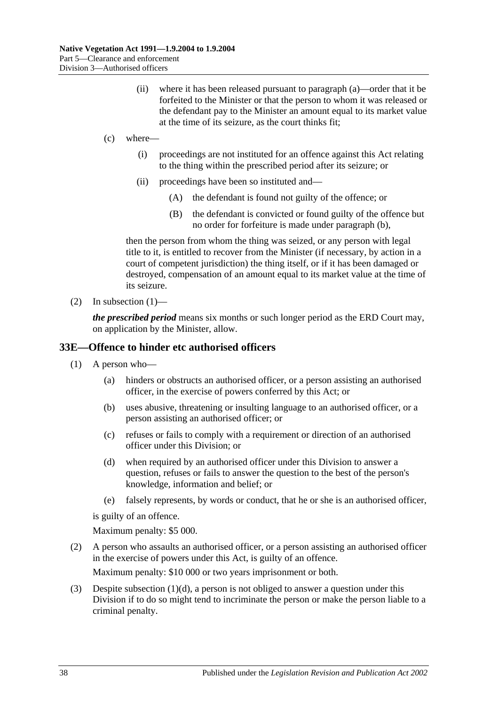- (ii) where it has been released pursuant to [paragraph](#page-36-2) (a)—order that it be forfeited to the Minister or that the person to whom it was released or the defendant pay to the Minister an amount equal to its market value at the time of its seizure, as the court thinks fit;
- <span id="page-37-1"></span>(c) where—
	- (i) proceedings are not instituted for an offence against this Act relating to the thing within the prescribed period after its seizure; or
	- (ii) proceedings have been so instituted and—
		- (A) the defendant is found not guilty of the offence; or
		- (B) the defendant is convicted or found guilty of the offence but no order for forfeiture is made under [paragraph](#page-36-3) (b),

then the person from whom the thing was seized, or any person with legal title to it, is entitled to recover from the Minister (if necessary, by action in a court of competent jurisdiction) the thing itself, or if it has been damaged or destroyed, compensation of an amount equal to its market value at the time of its seizure.

(2) In [subsection](#page-36-4)  $(1)$ —

*the prescribed period* means six months or such longer period as the ERD Court may, on application by the Minister, allow.

#### <span id="page-37-0"></span>**33E—Offence to hinder etc authorised officers**

- (1) A person who—
	- (a) hinders or obstructs an authorised officer, or a person assisting an authorised officer, in the exercise of powers conferred by this Act; or
	- (b) uses abusive, threatening or insulting language to an authorised officer, or a person assisting an authorised officer; or
	- (c) refuses or fails to comply with a requirement or direction of an authorised officer under this Division; or
	- (d) when required by an authorised officer under this Division to answer a question, refuses or fails to answer the question to the best of the person's knowledge, information and belief; or
	- (e) falsely represents, by words or conduct, that he or she is an authorised officer,

<span id="page-37-2"></span>is guilty of an offence.

Maximum penalty: \$5 000.

(2) A person who assaults an authorised officer, or a person assisting an authorised officer in the exercise of powers under this Act, is guilty of an offence.

Maximum penalty: \$10 000 or two years imprisonment or both.

(3) Despite [subsection](#page-37-2)  $(1)(d)$ , a person is not obliged to answer a question under this Division if to do so might tend to incriminate the person or make the person liable to a criminal penalty.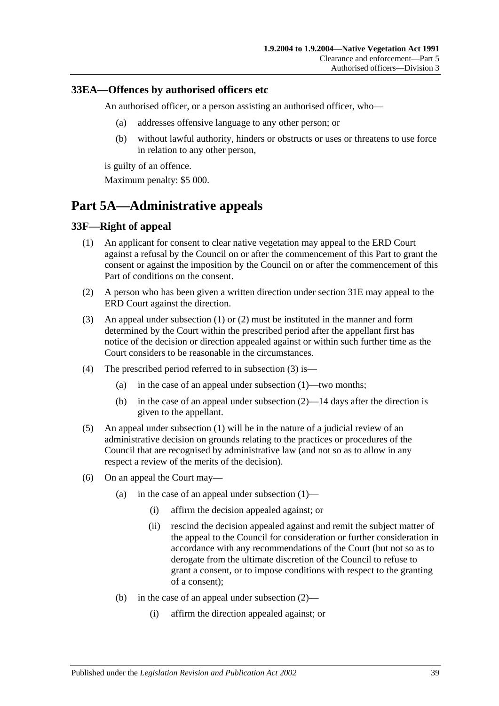#### <span id="page-38-0"></span>**33EA—Offences by authorised officers etc**

An authorised officer, or a person assisting an authorised officer, who—

- (a) addresses offensive language to any other person; or
- (b) without lawful authority, hinders or obstructs or uses or threatens to use force in relation to any other person,

is guilty of an offence.

Maximum penalty: \$5 000.

## <span id="page-38-1"></span>**Part 5A—Administrative appeals**

### <span id="page-38-3"></span><span id="page-38-2"></span>**33F—Right of appeal**

- (1) An applicant for consent to clear native vegetation may appeal to the ERD Court against a refusal by the Council on or after the commencement of this Part to grant the consent or against the imposition by the Council on or after the commencement of this Part of conditions on the consent.
- <span id="page-38-4"></span>(2) A person who has been given a written direction under [section](#page-30-0) 31E may appeal to the ERD Court against the direction.
- <span id="page-38-5"></span>(3) An appeal under [subsection](#page-38-3) (1) or [\(2\)](#page-38-4) must be instituted in the manner and form determined by the Court within the prescribed period after the appellant first has notice of the decision or direction appealed against or within such further time as the Court considers to be reasonable in the circumstances.
- (4) The prescribed period referred to in [subsection](#page-38-5) (3) is—
	- (a) in the case of an appeal under [subsection](#page-38-3) (1)—two months;
	- (b) in the case of an appeal under [subsection](#page-38-4) (2)—14 days after the direction is given to the appellant.
- (5) An appeal under [subsection](#page-38-3) (1) will be in the nature of a judicial review of an administrative decision on grounds relating to the practices or procedures of the Council that are recognised by administrative law (and not so as to allow in any respect a review of the merits of the decision).
- (6) On an appeal the Court may
	- (a) in the case of an appeal under [subsection](#page-38-3)  $(1)$ 
		- (i) affirm the decision appealed against; or
		- (ii) rescind the decision appealed against and remit the subject matter of the appeal to the Council for consideration or further consideration in accordance with any recommendations of the Court (but not so as to derogate from the ultimate discretion of the Council to refuse to grant a consent, or to impose conditions with respect to the granting of a consent);
	- (b) in the case of an appeal under [subsection](#page-38-4) (2)—
		- (i) affirm the direction appealed against; or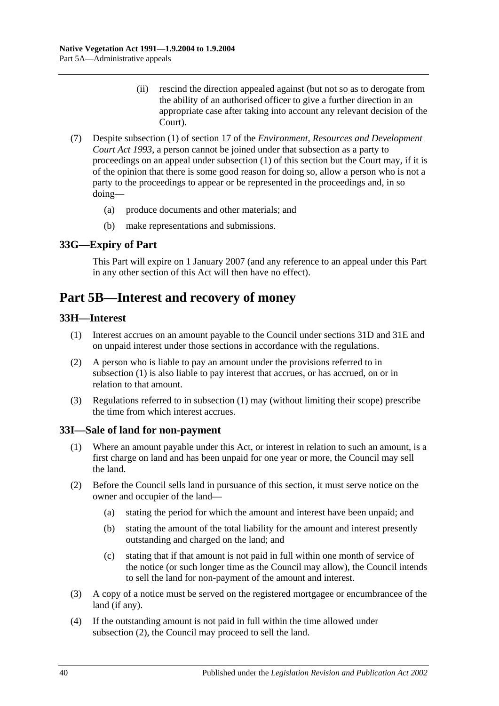- (ii) rescind the direction appealed against (but not so as to derogate from the ability of an authorised officer to give a further direction in an appropriate case after taking into account any relevant decision of the Court).
- (7) Despite subsection (1) of section 17 of the *Environment, [Resources and Development](http://www.legislation.sa.gov.au/index.aspx?action=legref&type=act&legtitle=Environment%20Resources%20and%20Development%20Court%20Act%201993)  [Court Act](http://www.legislation.sa.gov.au/index.aspx?action=legref&type=act&legtitle=Environment%20Resources%20and%20Development%20Court%20Act%201993) 1993*, a person cannot be joined under that subsection as a party to proceedings on an appeal under [subsection](#page-38-3) (1) of this section but the Court may, if it is of the opinion that there is some good reason for doing so, allow a person who is not a party to the proceedings to appear or be represented in the proceedings and, in so doing—
	- (a) produce documents and other materials; and
	- (b) make representations and submissions.

### <span id="page-39-0"></span>**33G—Expiry of Part**

This Part will expire on 1 January 2007 (and any reference to an appeal under this Part in any other section of this Act will then have no effect).

## <span id="page-39-1"></span>**Part 5B—Interest and recovery of money**

#### <span id="page-39-4"></span><span id="page-39-2"></span>**33H—Interest**

- (1) Interest accrues on an amount payable to the Council under [sections](#page-29-1) 31D and [31E](#page-30-0) and on unpaid interest under those sections in accordance with the regulations.
- (2) A person who is liable to pay an amount under the provisions referred to in [subsection](#page-39-4) (1) is also liable to pay interest that accrues, or has accrued, on or in relation to that amount.
- (3) Regulations referred to in [subsection](#page-39-4) (1) may (without limiting their scope) prescribe the time from which interest accrues.

#### <span id="page-39-3"></span>**33I—Sale of land for non-payment**

- (1) Where an amount payable under this Act, or interest in relation to such an amount, is a first charge on land and has been unpaid for one year or more, the Council may sell the land.
- <span id="page-39-5"></span>(2) Before the Council sells land in pursuance of this section, it must serve notice on the owner and occupier of the land—
	- (a) stating the period for which the amount and interest have been unpaid; and
	- (b) stating the amount of the total liability for the amount and interest presently outstanding and charged on the land; and
	- (c) stating that if that amount is not paid in full within one month of service of the notice (or such longer time as the Council may allow), the Council intends to sell the land for non-payment of the amount and interest.
- (3) A copy of a notice must be served on the registered mortgagee or encumbrancee of the land (if any).
- (4) If the outstanding amount is not paid in full within the time allowed under [subsection](#page-39-5) (2), the Council may proceed to sell the land.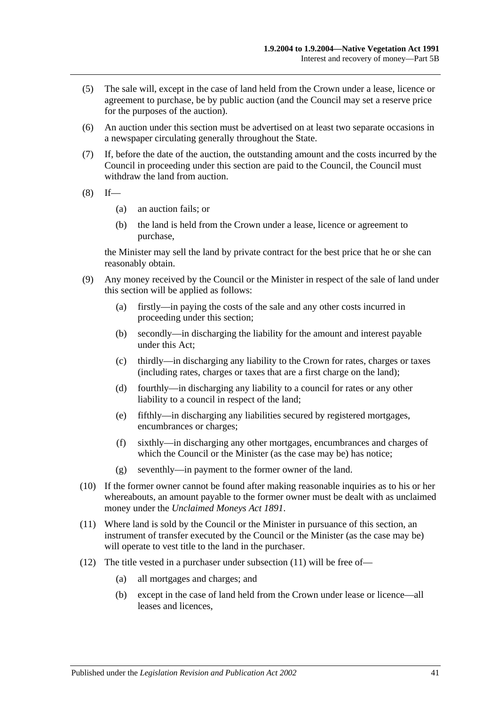- (5) The sale will, except in the case of land held from the Crown under a lease, licence or agreement to purchase, be by public auction (and the Council may set a reserve price for the purposes of the auction).
- (6) An auction under this section must be advertised on at least two separate occasions in a newspaper circulating generally throughout the State.
- (7) If, before the date of the auction, the outstanding amount and the costs incurred by the Council in proceeding under this section are paid to the Council, the Council must withdraw the land from auction.
- $(8)$  If—
	- (a) an auction fails; or
	- (b) the land is held from the Crown under a lease, licence or agreement to purchase,

the Minister may sell the land by private contract for the best price that he or she can reasonably obtain.

- (9) Any money received by the Council or the Minister in respect of the sale of land under this section will be applied as follows:
	- (a) firstly—in paying the costs of the sale and any other costs incurred in proceeding under this section;
	- (b) secondly—in discharging the liability for the amount and interest payable under this Act;
	- (c) thirdly—in discharging any liability to the Crown for rates, charges or taxes (including rates, charges or taxes that are a first charge on the land);
	- (d) fourthly—in discharging any liability to a council for rates or any other liability to a council in respect of the land;
	- (e) fifthly—in discharging any liabilities secured by registered mortgages, encumbrances or charges;
	- (f) sixthly—in discharging any other mortgages, encumbrances and charges of which the Council or the Minister (as the case may be) has notice;
	- (g) seventhly—in payment to the former owner of the land.
- (10) If the former owner cannot be found after making reasonable inquiries as to his or her whereabouts, an amount payable to the former owner must be dealt with as unclaimed money under the *[Unclaimed Moneys Act](http://www.legislation.sa.gov.au/index.aspx?action=legref&type=act&legtitle=Unclaimed%20Moneys%20Act%201891) 1891*.
- <span id="page-40-0"></span>(11) Where land is sold by the Council or the Minister in pursuance of this section, an instrument of transfer executed by the Council or the Minister (as the case may be) will operate to vest title to the land in the purchaser.
- (12) The title vested in a purchaser under [subsection](#page-40-0) (11) will be free of—
	- (a) all mortgages and charges; and
	- (b) except in the case of land held from the Crown under lease or licence—all leases and licences,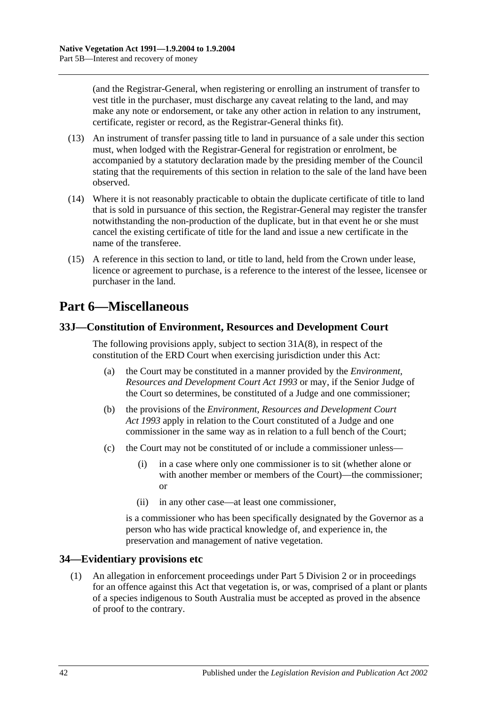(and the Registrar-General, when registering or enrolling an instrument of transfer to vest title in the purchaser, must discharge any caveat relating to the land, and may make any note or endorsement, or take any other action in relation to any instrument, certificate, register or record, as the Registrar-General thinks fit).

- (13) An instrument of transfer passing title to land in pursuance of a sale under this section must, when lodged with the Registrar-General for registration or enrolment, be accompanied by a statutory declaration made by the presiding member of the Council stating that the requirements of this section in relation to the sale of the land have been observed.
- (14) Where it is not reasonably practicable to obtain the duplicate certificate of title to land that is sold in pursuance of this section, the Registrar-General may register the transfer notwithstanding the non-production of the duplicate, but in that event he or she must cancel the existing certificate of title for the land and issue a new certificate in the name of the transferee.
- (15) A reference in this section to land, or title to land, held from the Crown under lease, licence or agreement to purchase, is a reference to the interest of the lessee, licensee or purchaser in the land.

## <span id="page-41-0"></span>**Part 6—Miscellaneous**

## <span id="page-41-1"></span>**33J—Constitution of Environment, Resources and Development Court**

The following provisions apply, subject to section [31A\(8\),](#page-27-4) in respect of the constitution of the ERD Court when exercising jurisdiction under this Act:

- (a) the Court may be constituted in a manner provided by the *[Environment,](http://www.legislation.sa.gov.au/index.aspx?action=legref&type=act&legtitle=Environment%20Resources%20and%20Development%20Court%20Act%201993)  [Resources and Development Court Act](http://www.legislation.sa.gov.au/index.aspx?action=legref&type=act&legtitle=Environment%20Resources%20and%20Development%20Court%20Act%201993) 1993* or may, if the Senior Judge of the Court so determines, be constituted of a Judge and one commissioner;
- (b) the provisions of the *[Environment, Resources and Development Court](http://www.legislation.sa.gov.au/index.aspx?action=legref&type=act&legtitle=Environment%20Resources%20and%20Development%20Court%20Act%201993)  Act [1993](http://www.legislation.sa.gov.au/index.aspx?action=legref&type=act&legtitle=Environment%20Resources%20and%20Development%20Court%20Act%201993)* apply in relation to the Court constituted of a Judge and one commissioner in the same way as in relation to a full bench of the Court;
- (c) the Court may not be constituted of or include a commissioner unless—
	- (i) in a case where only one commissioner is to sit (whether alone or with another member or members of the Court)—the commissioner; or
	- (ii) in any other case—at least one commissioner,

is a commissioner who has been specifically designated by the Governor as a person who has wide practical knowledge of, and experience in, the preservation and management of native vegetation.

## <span id="page-41-2"></span>**34—Evidentiary provisions etc**

(1) An allegation in enforcement proceedings under [Part 5 Division 2](#page-25-1) or in proceedings for an offence against this Act that vegetation is, or was, comprised of a plant or plants of a species indigenous to South Australia must be accepted as proved in the absence of proof to the contrary.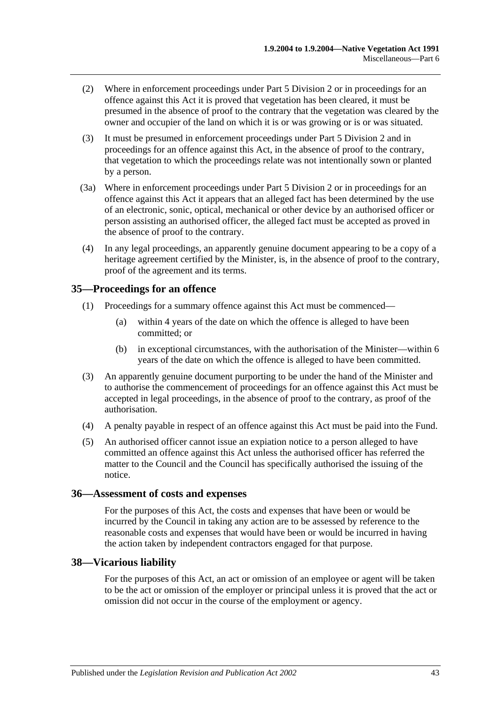- (2) Where in enforcement proceedings under [Part 5 Division 2](#page-25-1) or in proceedings for an offence against this Act it is proved that vegetation has been cleared, it must be presumed in the absence of proof to the contrary that the vegetation was cleared by the owner and occupier of the land on which it is or was growing or is or was situated.
- (3) It must be presumed in enforcement proceedings under [Part 5 Division 2](#page-25-1) and in proceedings for an offence against this Act, in the absence of proof to the contrary, that vegetation to which the proceedings relate was not intentionally sown or planted by a person.
- (3a) Where in enforcement proceedings under [Part 5 Division 2](#page-25-1) or in proceedings for an offence against this Act it appears that an alleged fact has been determined by the use of an electronic, sonic, optical, mechanical or other device by an authorised officer or person assisting an authorised officer, the alleged fact must be accepted as proved in the absence of proof to the contrary.
- (4) In any legal proceedings, an apparently genuine document appearing to be a copy of a heritage agreement certified by the Minister, is, in the absence of proof to the contrary, proof of the agreement and its terms.

### <span id="page-42-0"></span>**35—Proceedings for an offence**

- (1) Proceedings for a summary offence against this Act must be commenced—
	- (a) within 4 years of the date on which the offence is alleged to have been committed; or
	- (b) in exceptional circumstances, with the authorisation of the Minister—within 6 years of the date on which the offence is alleged to have been committed.
- (3) An apparently genuine document purporting to be under the hand of the Minister and to authorise the commencement of proceedings for an offence against this Act must be accepted in legal proceedings, in the absence of proof to the contrary, as proof of the authorisation.
- (4) A penalty payable in respect of an offence against this Act must be paid into the Fund.
- (5) An authorised officer cannot issue an expiation notice to a person alleged to have committed an offence against this Act unless the authorised officer has referred the matter to the Council and the Council has specifically authorised the issuing of the notice.

#### <span id="page-42-1"></span>**36—Assessment of costs and expenses**

For the purposes of this Act, the costs and expenses that have been or would be incurred by the Council in taking any action are to be assessed by reference to the reasonable costs and expenses that would have been or would be incurred in having the action taken by independent contractors engaged for that purpose.

### <span id="page-42-2"></span>**38—Vicarious liability**

For the purposes of this Act, an act or omission of an employee or agent will be taken to be the act or omission of the employer or principal unless it is proved that the act or omission did not occur in the course of the employment or agency.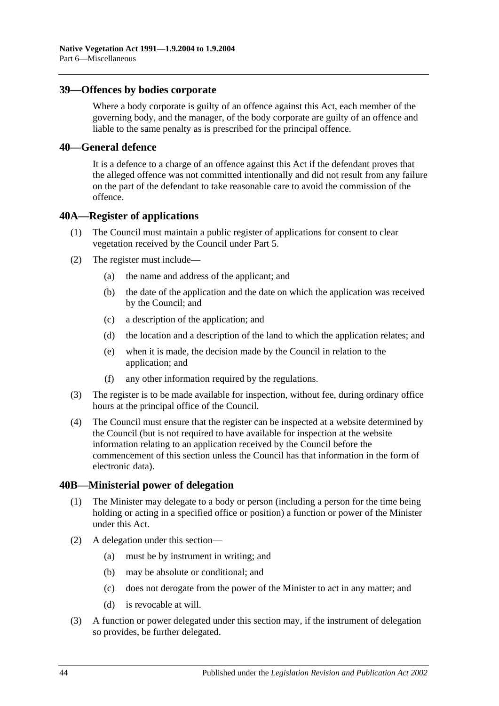#### <span id="page-43-0"></span>**39—Offences by bodies corporate**

Where a body corporate is guilty of an offence against this Act, each member of the governing body, and the manager, of the body corporate are guilty of an offence and liable to the same penalty as is prescribed for the principal offence.

#### <span id="page-43-1"></span>**40—General defence**

It is a defence to a charge of an offence against this Act if the defendant proves that the alleged offence was not committed intentionally and did not result from any failure on the part of the defendant to take reasonable care to avoid the commission of the offence.

#### <span id="page-43-2"></span>**40A—Register of applications**

- (1) The Council must maintain a public register of applications for consent to clear vegetation received by the Council under [Part 5.](#page-17-0)
- (2) The register must include—
	- (a) the name and address of the applicant; and
	- (b) the date of the application and the date on which the application was received by the Council; and
	- (c) a description of the application; and
	- (d) the location and a description of the land to which the application relates; and
	- (e) when it is made, the decision made by the Council in relation to the application; and
	- (f) any other information required by the regulations.
- (3) The register is to be made available for inspection, without fee, during ordinary office hours at the principal office of the Council.
- (4) The Council must ensure that the register can be inspected at a website determined by the Council (but is not required to have available for inspection at the website information relating to an application received by the Council before the commencement of this section unless the Council has that information in the form of electronic data).

#### <span id="page-43-3"></span>**40B—Ministerial power of delegation**

- (1) The Minister may delegate to a body or person (including a person for the time being holding or acting in a specified office or position) a function or power of the Minister under this Act.
- (2) A delegation under this section—
	- (a) must be by instrument in writing; and
	- (b) may be absolute or conditional; and
	- (c) does not derogate from the power of the Minister to act in any matter; and
	- (d) is revocable at will.
- (3) A function or power delegated under this section may, if the instrument of delegation so provides, be further delegated.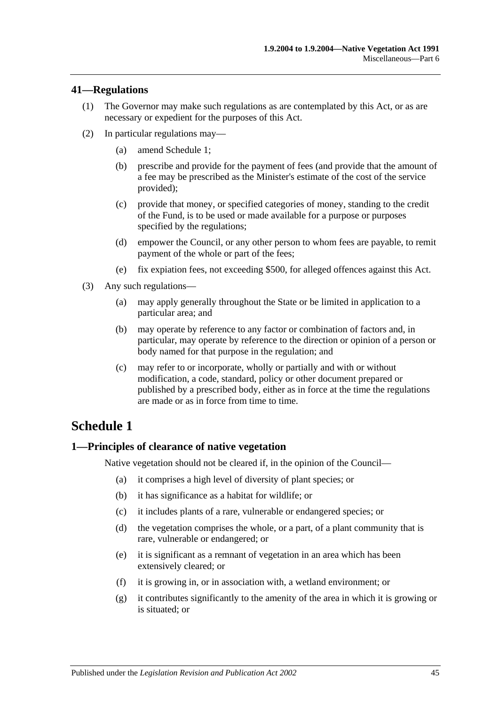#### <span id="page-44-0"></span>**41—Regulations**

- (1) The Governor may make such regulations as are contemplated by this Act, or as are necessary or expedient for the purposes of this Act.
- (2) In particular regulations may—
	- (a) amend [Schedule 1;](#page-44-1)
	- (b) prescribe and provide for the payment of fees (and provide that the amount of a fee may be prescribed as the Minister's estimate of the cost of the service provided);
	- (c) provide that money, or specified categories of money, standing to the credit of the Fund, is to be used or made available for a purpose or purposes specified by the regulations;
	- (d) empower the Council, or any other person to whom fees are payable, to remit payment of the whole or part of the fees;
	- (e) fix expiation fees, not exceeding \$500, for alleged offences against this Act.
- (3) Any such regulations—
	- (a) may apply generally throughout the State or be limited in application to a particular area; and
	- (b) may operate by reference to any factor or combination of factors and, in particular, may operate by reference to the direction or opinion of a person or body named for that purpose in the regulation; and
	- (c) may refer to or incorporate, wholly or partially and with or without modification, a code, standard, policy or other document prepared or published by a prescribed body, either as in force at the time the regulations are made or as in force from time to time.

## <span id="page-44-1"></span>**Schedule 1**

### <span id="page-44-2"></span>**1—Principles of clearance of native vegetation**

Native vegetation should not be cleared if, in the opinion of the Council—

- (a) it comprises a high level of diversity of plant species; or
- (b) it has significance as a habitat for wildlife; or
- (c) it includes plants of a rare, vulnerable or endangered species; or
- (d) the vegetation comprises the whole, or a part, of a plant community that is rare, vulnerable or endangered; or
- (e) it is significant as a remnant of vegetation in an area which has been extensively cleared; or
- (f) it is growing in, or in association with, a wetland environment; or
- (g) it contributes significantly to the amenity of the area in which it is growing or is situated; or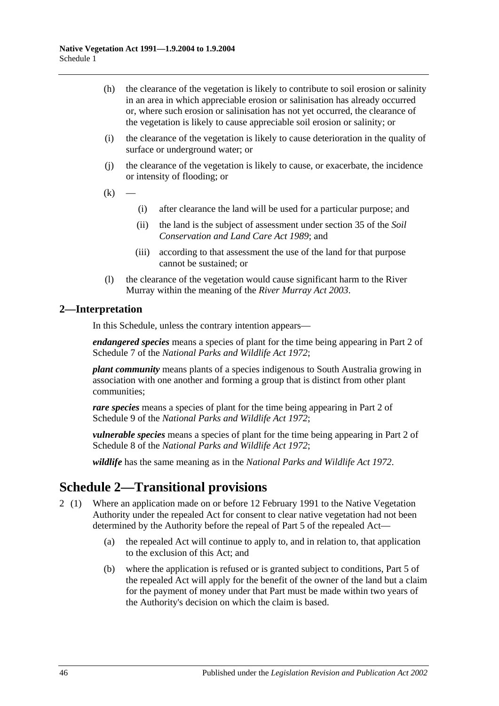- (h) the clearance of the vegetation is likely to contribute to soil erosion or salinity in an area in which appreciable erosion or salinisation has already occurred or, where such erosion or salinisation has not yet occurred, the clearance of the vegetation is likely to cause appreciable soil erosion or salinity; or
- (i) the clearance of the vegetation is likely to cause deterioration in the quality of surface or underground water; or
- (j) the clearance of the vegetation is likely to cause, or exacerbate, the incidence or intensity of flooding; or
- $(k)$
- (i) after clearance the land will be used for a particular purpose; and
- (ii) the land is the subject of assessment under section 35 of the *[Soil](http://www.legislation.sa.gov.au/index.aspx?action=legref&type=act&legtitle=Soil%20Conservation%20and%20Land%20Care%20Act%201989)  [Conservation and Land Care Act](http://www.legislation.sa.gov.au/index.aspx?action=legref&type=act&legtitle=Soil%20Conservation%20and%20Land%20Care%20Act%201989) 1989*; and
- (iii) according to that assessment the use of the land for that purpose cannot be sustained; or
- (l) the clearance of the vegetation would cause significant harm to the River Murray within the meaning of the *[River Murray Act](http://www.legislation.sa.gov.au/index.aspx?action=legref&type=act&legtitle=River%20Murray%20Act%202003) 2003*.

### <span id="page-45-0"></span>**2—Interpretation**

In this Schedule, unless the contrary intention appears—

*endangered species* means a species of plant for the time being appearing in Part 2 of Schedule 7 of the *[National Parks and Wildlife Act](http://www.legislation.sa.gov.au/index.aspx?action=legref&type=act&legtitle=National%20Parks%20and%20Wildlife%20Act%201972) 1972*;

*plant community* means plants of a species indigenous to South Australia growing in association with one another and forming a group that is distinct from other plant communities;

*rare species* means a species of plant for the time being appearing in Part 2 of Schedule 9 of the *[National Parks and Wildlife Act](http://www.legislation.sa.gov.au/index.aspx?action=legref&type=act&legtitle=National%20Parks%20and%20Wildlife%20Act%201972) 1972*;

*vulnerable species* means a species of plant for the time being appearing in Part 2 of Schedule 8 of the *[National Parks and Wildlife Act](http://www.legislation.sa.gov.au/index.aspx?action=legref&type=act&legtitle=National%20Parks%20and%20Wildlife%20Act%201972) 1972*;

*wildlife* has the same meaning as in the *[National Parks and Wildlife Act](http://www.legislation.sa.gov.au/index.aspx?action=legref&type=act&legtitle=National%20Parks%20and%20Wildlife%20Act%201972) 1972*.

## <span id="page-45-1"></span>**Schedule 2—Transitional provisions**

- 2 (1) Where an application made on or before 12 February 1991 to the Native Vegetation Authority under the repealed Act for consent to clear native vegetation had not been determined by the Authority before the repeal of Part 5 of the repealed Act—
	- (a) the repealed Act will continue to apply to, and in relation to, that application to the exclusion of this Act; and
	- (b) where the application is refused or is granted subject to conditions, Part 5 of the repealed Act will apply for the benefit of the owner of the land but a claim for the payment of money under that Part must be made within two years of the Authority's decision on which the claim is based.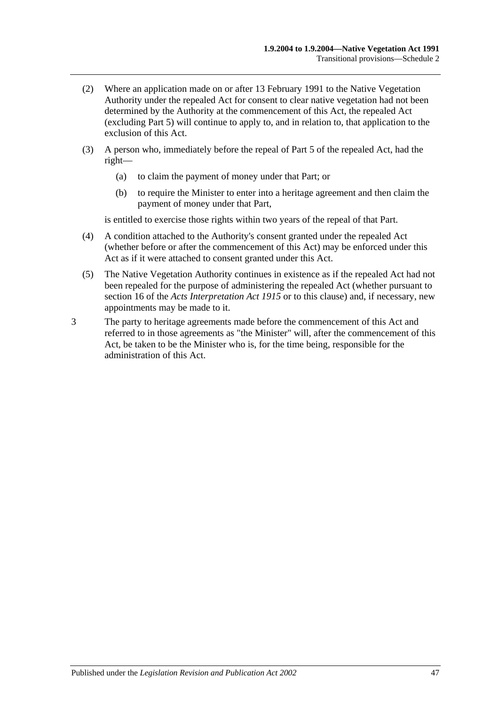- (2) Where an application made on or after 13 February 1991 to the Native Vegetation Authority under the repealed Act for consent to clear native vegetation had not been determined by the Authority at the commencement of this Act, the repealed Act (excluding Part 5) will continue to apply to, and in relation to, that application to the exclusion of this Act.
- (3) A person who, immediately before the repeal of Part 5 of the repealed Act, had the right—
	- (a) to claim the payment of money under that Part; or
	- (b) to require the Minister to enter into a heritage agreement and then claim the payment of money under that Part,

is entitled to exercise those rights within two years of the repeal of that Part.

- (4) A condition attached to the Authority's consent granted under the repealed Act (whether before or after the commencement of this Act) may be enforced under this Act as if it were attached to consent granted under this Act.
- (5) The Native Vegetation Authority continues in existence as if the repealed Act had not been repealed for the purpose of administering the repealed Act (whether pursuant to section 16 of the *[Acts Interpretation Act](http://www.legislation.sa.gov.au/index.aspx?action=legref&type=act&legtitle=Acts%20Interpretation%20Act%201915) 1915* or to this clause) and, if necessary, new appointments may be made to it.
- 3 The party to heritage agreements made before the commencement of this Act and referred to in those agreements as "the Minister" will, after the commencement of this Act, be taken to be the Minister who is, for the time being, responsible for the administration of this Act.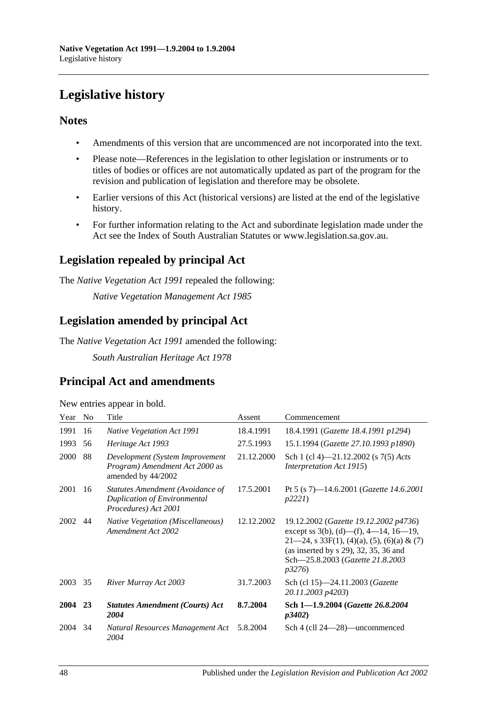# <span id="page-47-0"></span>**Legislative history**

### **Notes**

- Amendments of this version that are uncommenced are not incorporated into the text.
- Please note—References in the legislation to other legislation or instruments or to titles of bodies or offices are not automatically updated as part of the program for the revision and publication of legislation and therefore may be obsolete.
- Earlier versions of this Act (historical versions) are listed at the end of the legislative history.
- For further information relating to the Act and subordinate legislation made under the Act see the Index of South Australian Statutes or www.legislation.sa.gov.au.

## **Legislation repealed by principal Act**

The *Native Vegetation Act 1991* repealed the following:

*Native Vegetation Management Act 1985*

## **Legislation amended by principal Act**

The *Native Vegetation Act 1991* amended the following:

*South Australian Heritage Act 1978*

## **Principal Act and amendments**

| New entries appear in bold. |  |  |  |  |  |
|-----------------------------|--|--|--|--|--|
|-----------------------------|--|--|--|--|--|

| Year        | N <sub>o</sub> | Title                                                                                    | Assent     | Commencement                                                                                                                                                                                                                 |
|-------------|----------------|------------------------------------------------------------------------------------------|------------|------------------------------------------------------------------------------------------------------------------------------------------------------------------------------------------------------------------------------|
| 1991        | 16             | Native Vegetation Act 1991                                                               | 18.4.1991  | 18.4.1991 (Gazette 18.4.1991 p1294)                                                                                                                                                                                          |
| 1993        | 56             | Heritage Act 1993                                                                        | 27.5.1993  | 15.1.1994 (Gazette 27.10.1993 p1890)                                                                                                                                                                                         |
| 2000        | 88             | Development (System Improvement<br>Program) Amendment Act 2000 as<br>amended by 44/2002  | 21.12.2000 | Sch 1 (cl 4)-21.12.2002 (s 7(5) Acts<br><i>Interpretation Act 1915</i> )                                                                                                                                                     |
| 2001        | 16             | Statutes Amendment (Avoidance of<br>Duplication of Environmental<br>Procedures) Act 2001 | 17.5.2001  | Pt 5 (s 7)—14.6.2001 ( <i>Gazette 14.6.2001</i><br>p2221                                                                                                                                                                     |
| 2002        | 44             | <b>Native Vegetation (Miscellaneous)</b><br>Amendment Act 2002                           | 12.12.2002 | 19.12.2002 (Gazette 19.12.2002 p4736)<br>except ss $3(b)$ , (d)—(f), 4—14, 16—19,<br>$21-24$ , s 33F(1), (4)(a), (5), (6)(a) & (7)<br>(as inserted by $s$ 29), 32, 35, 36 and<br>Sch-25.8.2003 (Gazette 21.8.2003)<br>p3276) |
| 2003        | 35             | River Murray Act 2003                                                                    | 31.7.2003  | Sch (cl 15)-24.11.2003 (Gazette<br>20.11.2003 p4203)                                                                                                                                                                         |
| <b>2004</b> | 23             | <b>Statutes Amendment (Courts) Act</b><br>2004                                           | 8.7.2004   | Sch 1-1.9.2004 (Gazette 26.8.2004)<br><i>p3402</i> )                                                                                                                                                                         |
| 2004        | 34             | Natural Resources Management Act<br>2004                                                 | 5.8.2004   | Sch 4 (cll 24—28)—uncommenced                                                                                                                                                                                                |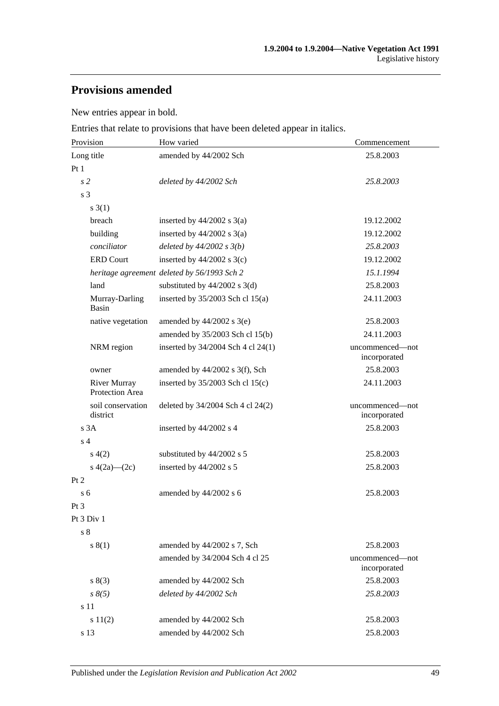## **Provisions amended**

New entries appear in bold.

Entries that relate to provisions that have been deleted appear in italics.

| Provision                              | How varied                                  | Commencement                    |  |
|----------------------------------------|---------------------------------------------|---------------------------------|--|
| Long title                             | amended by 44/2002 Sch                      | 25.8.2003                       |  |
| Pt1                                    |                                             |                                 |  |
| s <sub>2</sub>                         | deleted by 44/2002 Sch                      | 25.8.2003                       |  |
| s 3                                    |                                             |                                 |  |
| s(3(1))                                |                                             |                                 |  |
| breach                                 | inserted by $44/2002$ s $3(a)$              | 19.12.2002                      |  |
| building                               | inserted by $44/2002$ s $3(a)$              | 19.12.2002                      |  |
| conciliator                            | deleted by $44/2002 s 3(b)$                 | 25.8.2003                       |  |
| <b>ERD Court</b>                       | inserted by $44/2002$ s 3(c)                | 19.12.2002                      |  |
|                                        | heritage agreement deleted by 56/1993 Sch 2 | 15.1.1994                       |  |
| land                                   | substituted by $44/2002$ s 3(d)             | 25.8.2003                       |  |
| Murray-Darling<br>Basin                | inserted by $35/2003$ Sch cl 15(a)          | 24.11.2003                      |  |
| native vegetation                      | amended by $44/2002$ s 3(e)                 | 25.8.2003                       |  |
|                                        | amended by 35/2003 Sch cl 15(b)             | 24.11.2003                      |  |
| NRM region                             | inserted by 34/2004 Sch 4 cl 24(1)          | uncommenced-not<br>incorporated |  |
| owner                                  | amended by $44/2002$ s 3(f), Sch            | 25.8.2003                       |  |
| <b>River Murray</b><br>Protection Area | inserted by $35/2003$ Sch cl $15(c)$        | 24.11.2003                      |  |
| soil conservation<br>district          | deleted by 34/2004 Sch 4 cl 24(2)           | uncommenced-not<br>incorporated |  |
| s 3A                                   | inserted by 44/2002 s 4                     | 25.8.2003                       |  |
| s <sub>4</sub>                         |                                             |                                 |  |
| s(4(2)                                 | substituted by 44/2002 s 5                  | 25.8.2003                       |  |
| s $4(2a)$ — $(2c)$                     | inserted by 44/2002 s 5                     | 25.8.2003                       |  |
| Pt 2                                   |                                             |                                 |  |
| s <sub>6</sub>                         | amended by 44/2002 s 6                      | 25.8.2003                       |  |
| Pt <sub>3</sub>                        |                                             |                                 |  |
| Pt 3 Div 1                             |                                             |                                 |  |
| $\sqrt{s}$ 8                           |                                             |                                 |  |
| s(1)                                   | amended by 44/2002 s 7, Sch                 | 25.8.2003                       |  |
|                                        | amended by 34/2004 Sch 4 cl 25              | uncommenced—not<br>incorporated |  |
| s(3)                                   | amended by 44/2002 Sch                      | 25.8.2003                       |  |
| $s \, 8(5)$                            | deleted by 44/2002 Sch                      | 25.8.2003                       |  |
| s 11                                   |                                             |                                 |  |
| s 11(2)                                | amended by 44/2002 Sch                      | 25.8.2003                       |  |
| s 13                                   | amended by 44/2002 Sch                      | 25.8.2003                       |  |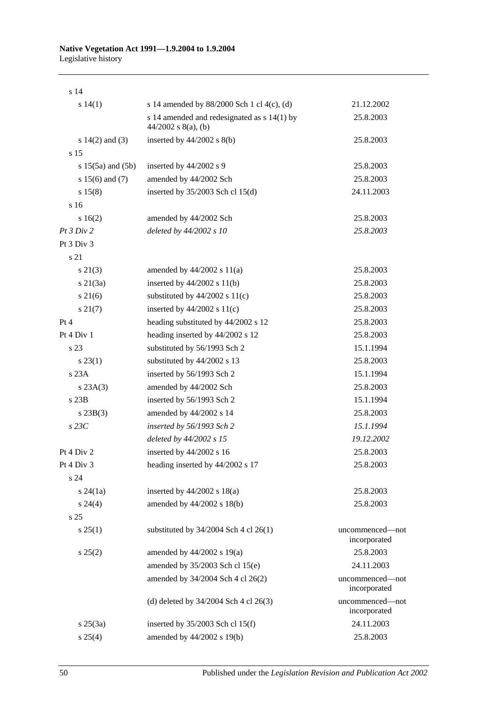#### **Native Vegetation Act 1991—1.9.2004 to 1.9.2004** Legislative history

| s <sub>14</sub>       |                                                                        |                                 |
|-----------------------|------------------------------------------------------------------------|---------------------------------|
| s 14(1)               | s 14 amended by 88/2000 Sch 1 cl 4(c), (d)                             | 21.12.2002                      |
|                       | s 14 amended and redesignated as $s$ 14(1) by<br>$44/2002$ s 8(a), (b) | 25.8.2003                       |
| s $14(2)$ and $(3)$   | inserted by $44/2002$ s $8(b)$                                         | 25.8.2003                       |
| s <sub>15</sub>       |                                                                        |                                 |
| s $15(5a)$ and $(5b)$ | inserted by 44/2002 s 9                                                | 25.8.2003                       |
| s $15(6)$ and $(7)$   | amended by 44/2002 Sch                                                 | 25.8.2003                       |
| s 15(8)               | inserted by $35/2003$ Sch cl 15(d)                                     | 24.11.2003                      |
| s 16                  |                                                                        |                                 |
| s16(2)                | amended by 44/2002 Sch                                                 | 25.8.2003                       |
| Pt 3 Div 2            | deleted by 44/2002 s 10                                                | 25.8.2003                       |
| Pt 3 Div 3            |                                                                        |                                 |
| s 21                  |                                                                        |                                 |
| $s\ 21(3)$            | amended by $44/2002$ s $11(a)$                                         | 25.8.2003                       |
| $s \, 21(3a)$         | inserted by $44/2002$ s $11(b)$                                        | 25.8.2003                       |
| $s \, 21(6)$          | substituted by $44/2002$ s $11(c)$                                     | 25.8.2003                       |
| s 21(7)               | inserted by $44/2002$ s $11(c)$                                        | 25.8.2003                       |
| Pt 4                  | heading substituted by 44/2002 s 12                                    | 25.8.2003                       |
| Pt 4 Div 1            | heading inserted by 44/2002 s 12                                       | 25.8.2003                       |
| s 23                  | substituted by 56/1993 Sch 2                                           | 15.1.1994                       |
| $s\,23(1)$            | substituted by 44/2002 s 13                                            | 25.8.2003                       |
| s 23A                 | inserted by 56/1993 Sch 2                                              | 15.1.1994                       |
| s 23A(3)              | amended by 44/2002 Sch                                                 | 25.8.2003                       |
| $s$ 23B               | inserted by 56/1993 Sch 2                                              | 15.1.1994                       |
| s 23B(3)              | amended by 44/2002 s 14                                                | 25.8.2003                       |
| $s$ 23 $C$            | inserted by 56/1993 Sch 2                                              | 15.1.1994                       |
|                       | deleted by 44/2002 s 15                                                | 19.12.2002                      |
| Pt 4 Div 2            | inserted by 44/2002 s 16                                               | 25.8.2003                       |
| Pt 4 Div 3            | heading inserted by 44/2002 s 17                                       | 25.8.2003                       |
| s 24                  |                                                                        |                                 |
| $s\,24(1a)$           | inserted by $44/2002$ s $18(a)$                                        | 25.8.2003                       |
| $s\,24(4)$            | amended by 44/2002 s 18(b)                                             | 25.8.2003                       |
| s <sub>25</sub>       |                                                                        |                                 |
| s 25(1)               | substituted by $34/2004$ Sch 4 cl 26(1)                                | uncommenced—not<br>incorporated |
| s 25(2)               | amended by 44/2002 s 19(a)                                             | 25.8.2003                       |
|                       | amended by 35/2003 Sch cl 15(e)                                        | 24.11.2003                      |
|                       | amended by 34/2004 Sch 4 cl 26(2)                                      | uncommenced-not<br>incorporated |
|                       | (d) deleted by $34/2004$ Sch 4 cl $26(3)$                              | uncommenced-not<br>incorporated |
| $s \; 25(3a)$         | inserted by $35/2003$ Sch cl 15(f)                                     | 24.11.2003                      |
| s 25(4)               | amended by 44/2002 s 19(b)                                             | 25.8.2003                       |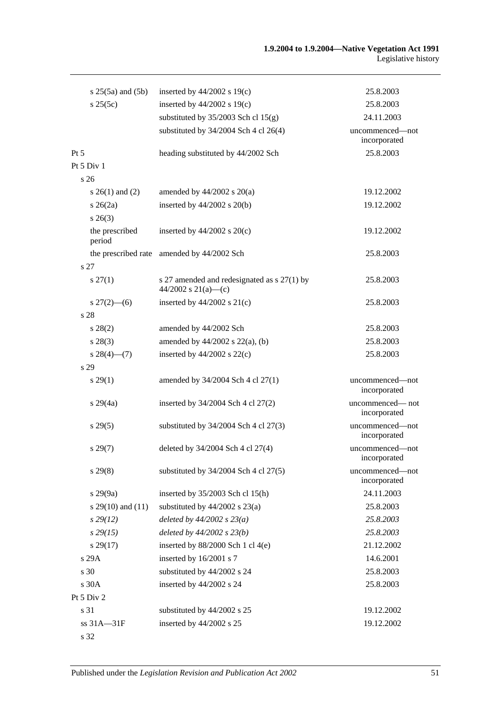| $s 25(5a)$ and $(5b)$     | inserted by $44/2002$ s 19(c)                                        | 25.8.2003                       |
|---------------------------|----------------------------------------------------------------------|---------------------------------|
| s 25(5c)                  | inserted by $44/2002$ s $19(c)$                                      | 25.8.2003                       |
|                           | substituted by $35/2003$ Sch cl $15(g)$                              | 24.11.2003                      |
|                           | substituted by $34/2004$ Sch 4 cl 26(4)                              | uncommenced—not<br>incorporated |
| $Pt\,5$                   | heading substituted by 44/2002 Sch                                   | 25.8.2003                       |
| Pt 5 Div 1                |                                                                      |                                 |
| s 26                      |                                                                      |                                 |
| s $26(1)$ and $(2)$       | amended by $44/2002$ s $20(a)$                                       | 19.12.2002                      |
| $s \; 26(2a)$             | inserted by $44/2002$ s $20(b)$                                      | 19.12.2002                      |
| $s \; 26(3)$              |                                                                      |                                 |
| the prescribed<br>period  | inserted by $44/2002$ s $20(c)$                                      | 19.12.2002                      |
| the prescribed rate       | amended by 44/2002 Sch                                               | 25.8.2003                       |
| s 27                      |                                                                      |                                 |
| $s \, 27(1)$              | s 27 amended and redesignated as $s$ 27(1) by<br>44/2002 s 21(a)—(c) | 25.8.2003                       |
| $s \frac{27(2) - (6)}{2}$ | inserted by $44/2002$ s $21(c)$                                      | 25.8.2003                       |
| s 28                      |                                                                      |                                 |
| $s\,28(2)$                | amended by 44/2002 Sch                                               | 25.8.2003                       |
| $s\,28(3)$                | amended by $44/2002$ s $22(a)$ , (b)                                 | 25.8.2003                       |
| $s \, 28(4)$ (7)          | inserted by $44/2002$ s $22(c)$                                      | 25.8.2003                       |
| s 29                      |                                                                      |                                 |
| $s\,29(1)$                | amended by 34/2004 Sch 4 cl 27(1)                                    | uncommenced-not<br>incorporated |
| $s\,29(4a)$               | inserted by 34/2004 Sch 4 cl 27(2)                                   | uncommenced—not<br>incorporated |
| s 29(5)                   | substituted by $34/2004$ Sch 4 cl $27(3)$                            | uncommenced-not<br>incorporated |
| s 29(7)                   | deleted by 34/2004 Sch 4 cl 27(4)                                    | uncommenced-not<br>incorporated |
| $s\,29(8)$                | substituted by $34/2004$ Sch 4 cl $27(5)$                            | uncommenced—not<br>incorporated |
| $s\,29(9a)$               | inserted by $35/2003$ Sch cl 15(h)                                   | 24.11.2003                      |
| s $29(10)$ and $(11)$     | substituted by $44/2002$ s $23(a)$                                   | 25.8.2003                       |
| $s\,29(12)$               | deleted by $44/2002 s 23(a)$                                         | 25.8.2003                       |
| $s\,29(15)$               | deleted by $44/2002$ s $23(b)$                                       | 25.8.2003                       |
| s 29(17)                  | inserted by $88/2000$ Sch 1 cl 4(e)                                  | 21.12.2002                      |
| s 29A                     | inserted by 16/2001 s 7                                              | 14.6.2001                       |
| s 30                      | substituted by 44/2002 s 24                                          | 25.8.2003                       |
| s 30A                     | inserted by 44/2002 s 24                                             | 25.8.2003                       |
| Pt 5 Div 2                |                                                                      |                                 |
| s 31                      | substituted by 44/2002 s 25                                          | 19.12.2002                      |
| ss 31A-31F                | inserted by 44/2002 s 25                                             | 19.12.2002                      |
| s 32                      |                                                                      |                                 |